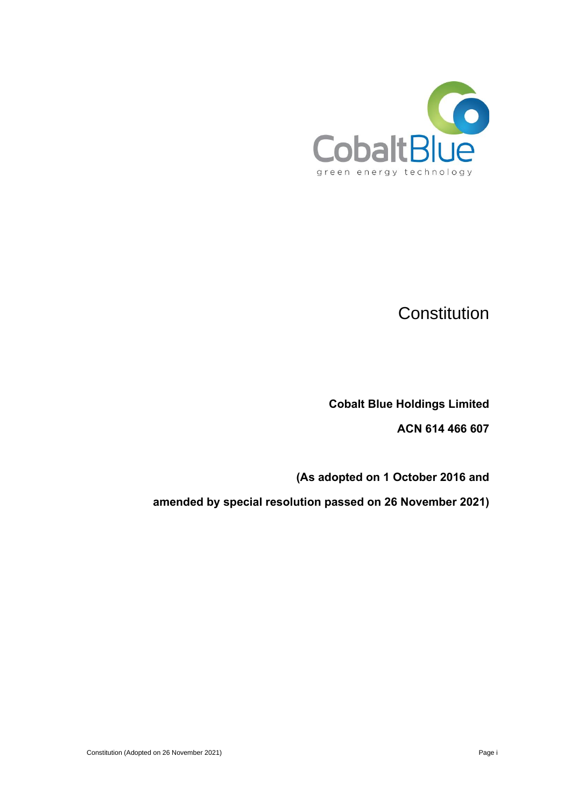

# **Constitution**

**Cobalt Blue Holdings Limited**

**ACN 614 466 607**

**(As adopted on 1 October 2016 and** 

**amended by special resolution passed on 26 November 2021)**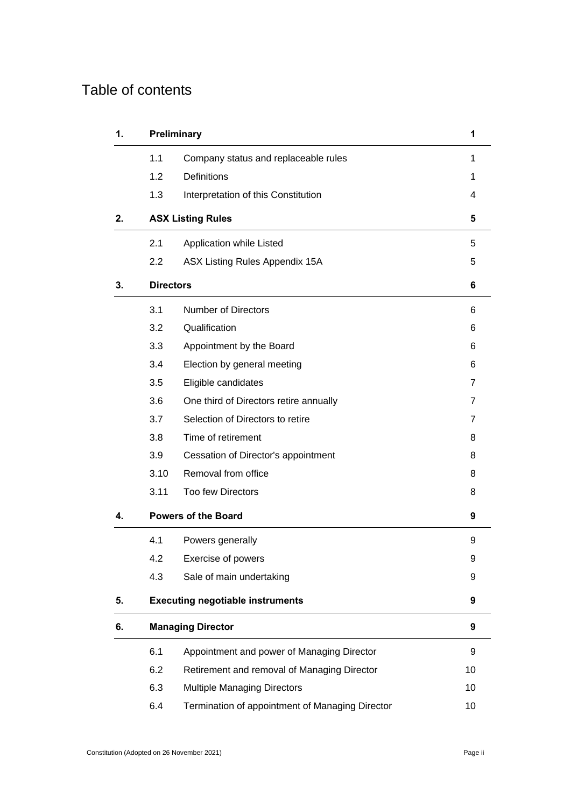# Table of contents

| 1. |                  | Preliminary                                     | 1              |
|----|------------------|-------------------------------------------------|----------------|
|    | 1.1              | Company status and replaceable rules            | 1              |
|    | 1.2              | Definitions                                     | 1              |
|    | 1.3              | Interpretation of this Constitution             | 4              |
| 2. |                  | <b>ASX Listing Rules</b>                        | 5              |
|    | 2.1              | Application while Listed                        | 5              |
|    | $2.2\phantom{0}$ | ASX Listing Rules Appendix 15A                  | 5              |
| 3. | <b>Directors</b> |                                                 | 6              |
|    | 3.1              | <b>Number of Directors</b>                      | 6              |
|    | 3.2              | Qualification                                   | 6              |
|    | 3.3              | Appointment by the Board                        | 6              |
|    | 3.4              | Election by general meeting                     | 6              |
|    | 3.5              | Eligible candidates                             | $\overline{7}$ |
|    | 3.6              | One third of Directors retire annually          | $\overline{7}$ |
|    | 3.7              | Selection of Directors to retire                | $\overline{7}$ |
|    | 3.8              | Time of retirement                              | 8              |
|    | 3.9              | Cessation of Director's appointment             | 8              |
|    | 3.10             | Removal from office                             | 8              |
|    | 3.11             | <b>Too few Directors</b>                        | 8              |
| 4. |                  | <b>Powers of the Board</b>                      | 9              |
|    | 4.1              | Powers generally                                | 9              |
|    | 4.2              | Exercise of powers                              | 9              |
|    | 4.3              | Sale of main undertaking                        | 9              |
| 5. |                  | <b>Executing negotiable instruments</b>         | 9              |
| 6. |                  | <b>Managing Director</b>                        | 9              |
|    | 6.1              | Appointment and power of Managing Director      | 9              |
|    | 6.2              | Retirement and removal of Managing Director     | 10             |
|    | 6.3              | <b>Multiple Managing Directors</b>              | 10             |
|    | 6.4              | Termination of appointment of Managing Director | 10             |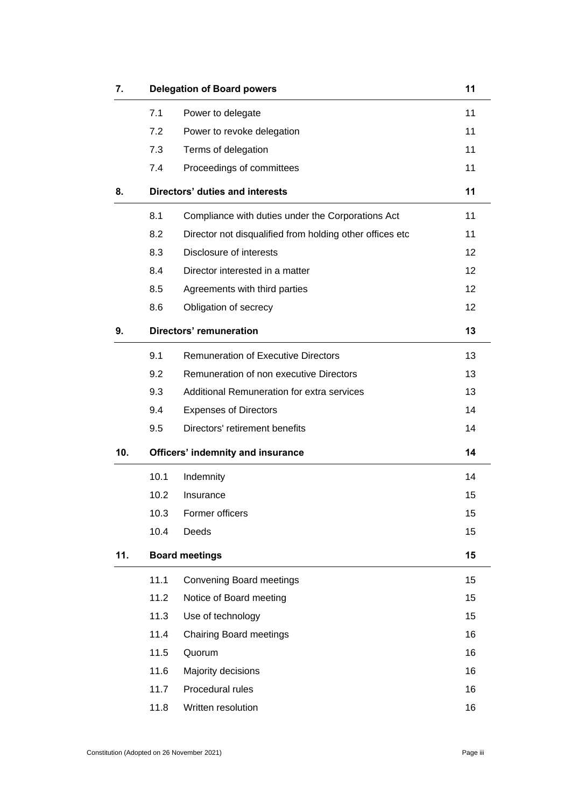| 7.  |      | <b>Delegation of Board powers</b>                        | 11 |
|-----|------|----------------------------------------------------------|----|
|     | 7.1  | Power to delegate                                        | 11 |
|     | 7.2  | Power to revoke delegation                               | 11 |
|     | 7.3  | Terms of delegation                                      | 11 |
|     | 7.4  | Proceedings of committees                                | 11 |
| 8.  |      | Directors' duties and interests                          | 11 |
|     | 8.1  | Compliance with duties under the Corporations Act        | 11 |
|     | 8.2  | Director not disqualified from holding other offices etc | 11 |
|     | 8.3  | Disclosure of interests                                  | 12 |
|     | 8.4  | Director interested in a matter                          | 12 |
|     | 8.5  | Agreements with third parties                            | 12 |
|     | 8.6  | Obligation of secrecy                                    | 12 |
| 9.  |      | <b>Directors' remuneration</b>                           | 13 |
|     | 9.1  | <b>Remuneration of Executive Directors</b>               | 13 |
|     | 9.2  | Remuneration of non executive Directors                  | 13 |
|     | 9.3  | Additional Remuneration for extra services               | 13 |
|     | 9.4  | <b>Expenses of Directors</b>                             | 14 |
|     | 9.5  | Directors' retirement benefits                           | 14 |
| 10. |      | <b>Officers' indemnity and insurance</b>                 | 14 |
|     | 10.1 | Indemnity                                                | 14 |
|     | 10.2 | Insurance                                                | 15 |
|     | 10.3 | Former officers                                          | 15 |
|     | 10.4 | Deeds                                                    | 15 |
| 11. |      | <b>Board meetings</b>                                    | 15 |
|     | 11.1 | <b>Convening Board meetings</b>                          | 15 |
|     | 11.2 | Notice of Board meeting                                  | 15 |
|     | 11.3 | Use of technology                                        | 15 |
|     | 11.4 | <b>Chairing Board meetings</b>                           | 16 |
|     | 11.5 | Quorum                                                   | 16 |
|     | 11.6 | Majority decisions                                       | 16 |
|     | 11.7 | Procedural rules                                         | 16 |
|     | 11.8 | Written resolution                                       | 16 |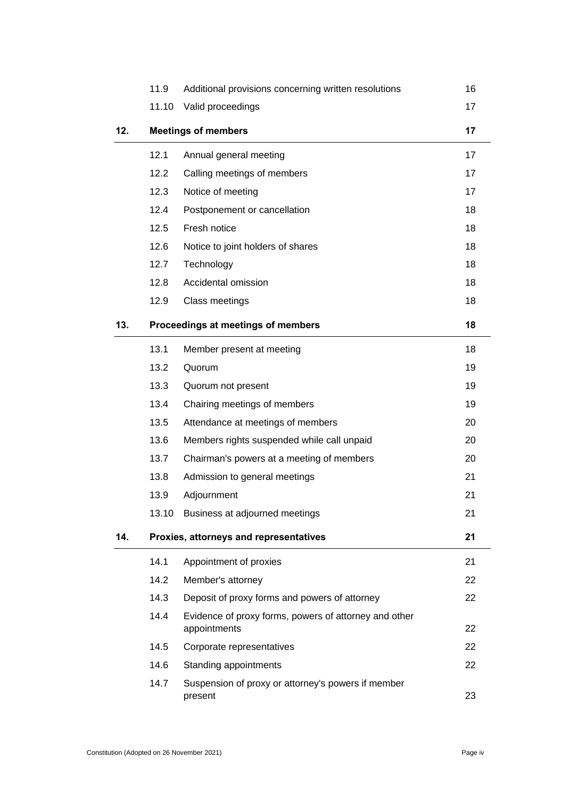|     | 11.9                       | Additional provisions concerning written resolutions                  | 16 |
|-----|----------------------------|-----------------------------------------------------------------------|----|
|     | 11.10                      | Valid proceedings                                                     | 17 |
| 12. | <b>Meetings of members</b> |                                                                       | 17 |
|     | 12.1                       | Annual general meeting                                                | 17 |
|     | 12.2                       | Calling meetings of members                                           | 17 |
|     | 12.3                       | Notice of meeting                                                     | 17 |
|     | 12.4                       | Postponement or cancellation                                          | 18 |
|     | 12.5                       | Fresh notice                                                          | 18 |
|     | 12.6                       | Notice to joint holders of shares                                     | 18 |
|     | 12.7                       | Technology                                                            | 18 |
|     | 12.8                       | Accidental omission                                                   | 18 |
|     | 12.9                       | Class meetings                                                        | 18 |
| 13. |                            | Proceedings at meetings of members                                    | 18 |
|     | 13.1                       | Member present at meeting                                             | 18 |
|     | 13.2                       | Quorum                                                                | 19 |
|     | 13.3                       | Quorum not present                                                    | 19 |
|     | 13.4                       | Chairing meetings of members                                          | 19 |
|     | 13.5                       | Attendance at meetings of members                                     | 20 |
|     | 13.6                       | Members rights suspended while call unpaid                            | 20 |
|     | 13.7                       | Chairman's powers at a meeting of members                             | 20 |
|     | 13.8                       | Admission to general meetings                                         | 21 |
|     | 13.9                       | Adjournment                                                           | 21 |
|     |                            | 13.10 Business at adjourned meetings                                  | 21 |
| 14. |                            | Proxies, attorneys and representatives                                | 21 |
|     | 14.1                       | Appointment of proxies                                                | 21 |
|     | 14.2                       | Member's attorney                                                     | 22 |
|     | 14.3                       | Deposit of proxy forms and powers of attorney                         | 22 |
|     | 14.4                       | Evidence of proxy forms, powers of attorney and other<br>appointments | 22 |
|     | 14.5                       | Corporate representatives                                             | 22 |
|     | 14.6                       | Standing appointments                                                 | 22 |
|     | 14.7                       | Suspension of proxy or attorney's powers if member<br>present         | 23 |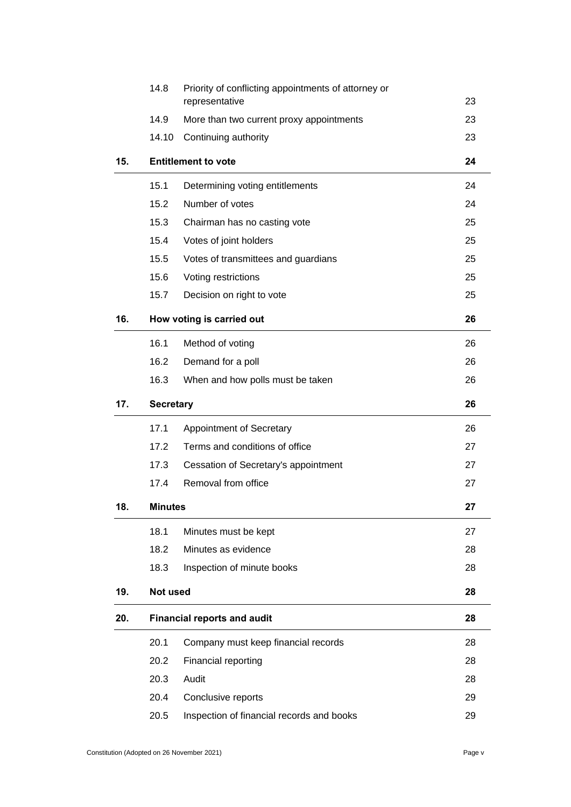|     | 14.8             | Priority of conflicting appointments of attorney or<br>representative | 23 |
|-----|------------------|-----------------------------------------------------------------------|----|
|     | 14.9             | More than two current proxy appointments                              | 23 |
|     | 14.10            | Continuing authority                                                  | 23 |
|     |                  |                                                                       |    |
| 15. |                  | <b>Entitlement to vote</b>                                            | 24 |
|     | 15.1             | Determining voting entitlements                                       | 24 |
|     | 15.2             | Number of votes                                                       | 24 |
|     | 15.3             | Chairman has no casting vote                                          | 25 |
|     | 15.4             | Votes of joint holders                                                | 25 |
|     | 15.5             | Votes of transmittees and guardians                                   | 25 |
|     | 15.6             | Voting restrictions                                                   | 25 |
|     | 15.7             | Decision on right to vote                                             | 25 |
| 16. |                  | How voting is carried out                                             | 26 |
|     | 16.1             | Method of voting                                                      | 26 |
|     | 16.2             | Demand for a poll                                                     | 26 |
|     | 16.3             | When and how polls must be taken                                      | 26 |
| 17. | <b>Secretary</b> |                                                                       | 26 |
|     | 17.1             | Appointment of Secretary                                              | 26 |
|     | 17.2             | Terms and conditions of office                                        | 27 |
|     | 17.3             | Cessation of Secretary's appointment                                  | 27 |
|     | 17.4             | Removal from office                                                   | 27 |
| 18. | <b>Minutes</b>   |                                                                       | 27 |
|     | 18.1             | Minutes must be kept                                                  | 27 |
|     | 18.2             | Minutes as evidence                                                   | 28 |
|     | 18.3             | Inspection of minute books                                            | 28 |
| 19. | <b>Not used</b>  |                                                                       | 28 |
| 20. |                  | <b>Financial reports and audit</b>                                    | 28 |
|     | 20.1             | Company must keep financial records                                   | 28 |
|     | 20.2             | Financial reporting                                                   | 28 |
|     | 20.3             | Audit                                                                 | 28 |
|     | 20.4             | Conclusive reports                                                    | 29 |
|     | 20.5             | Inspection of financial records and books                             | 29 |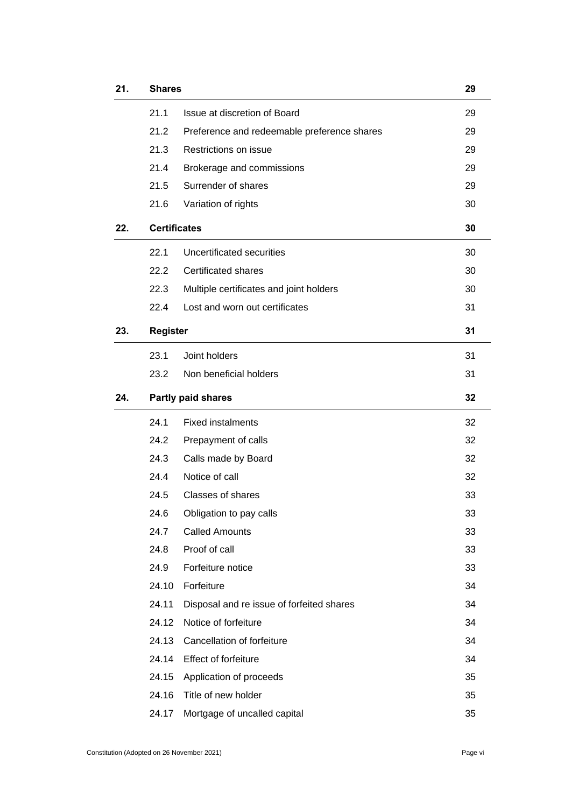| 21. | <b>Shares</b>       |                                             |    |
|-----|---------------------|---------------------------------------------|----|
|     | 21.1                | Issue at discretion of Board                | 29 |
|     | 21.2                | Preference and redeemable preference shares | 29 |
|     | 21.3                | Restrictions on issue                       | 29 |
|     | 21.4                | Brokerage and commissions                   | 29 |
|     | 21.5                | Surrender of shares                         | 29 |
|     | 21.6                | Variation of rights                         | 30 |
| 22. | <b>Certificates</b> |                                             | 30 |
|     | 22.1                | Uncertificated securities                   | 30 |
|     | 22.2                | <b>Certificated shares</b>                  | 30 |
|     | 22.3                | Multiple certificates and joint holders     | 30 |
|     | 22.4                | Lost and worn out certificates              | 31 |
| 23. | <b>Register</b>     |                                             | 31 |
|     | 23.1                | Joint holders                               | 31 |
|     | 23.2                | Non beneficial holders                      | 31 |
| 24. |                     | <b>Partly paid shares</b>                   | 32 |
|     | 24.1                | <b>Fixed instalments</b>                    | 32 |
|     | 24.2                | Prepayment of calls                         | 32 |
|     | 24.3                | Calls made by Board                         | 32 |
|     | 24.4                | Notice of call                              | 32 |
|     | 24.5                | Classes of shares                           | 33 |
|     | 24.6                | Obligation to pay calls                     | 33 |
|     | 24.7                | <b>Called Amounts</b>                       | 33 |
|     | 24.8                | Proof of call                               | 33 |
|     | 24.9                | Forfeiture notice                           | 33 |
|     | 24.10               | Forfeiture                                  | 34 |
|     | 24.11               | Disposal and re issue of forfeited shares   | 34 |
|     | 24.12               | Notice of forfeiture                        | 34 |
|     | 24.13               | Cancellation of forfeiture                  | 34 |
|     | 24.14               | Effect of forfeiture                        | 34 |
|     | 24.15               | Application of proceeds                     | 35 |
|     | 24.16               | Title of new holder                         | 35 |
|     | 24.17               | Mortgage of uncalled capital                | 35 |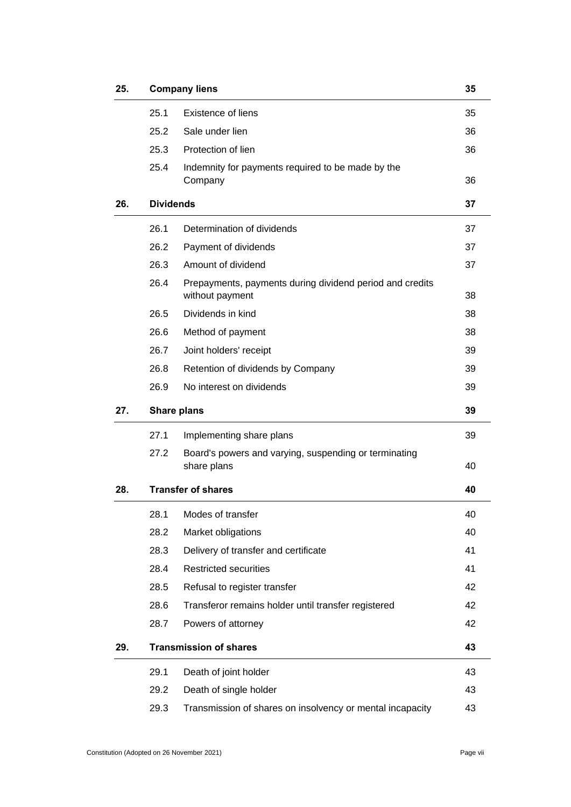|     |                  | <b>Company liens</b>                                                        | 35 |
|-----|------------------|-----------------------------------------------------------------------------|----|
|     | 25.1             | Existence of liens                                                          | 35 |
|     | 25.2             | Sale under lien                                                             | 36 |
|     | 25.3             | Protection of lien                                                          | 36 |
|     | 25.4             | Indemnity for payments required to be made by the<br>Company                | 36 |
| 26. | <b>Dividends</b> |                                                                             | 37 |
|     | 26.1             | Determination of dividends                                                  | 37 |
|     | 26.2             | Payment of dividends                                                        | 37 |
|     | 26.3             | Amount of dividend                                                          | 37 |
|     | 26.4             | Prepayments, payments during dividend period and credits<br>without payment | 38 |
|     | 26.5             | Dividends in kind                                                           | 38 |
|     | 26.6             | Method of payment                                                           | 38 |
|     | 26.7             | Joint holders' receipt                                                      | 39 |
|     | 26.8             | Retention of dividends by Company                                           | 39 |
|     | 26.9             | No interest on dividends                                                    | 39 |
| 27. |                  | Share plans                                                                 | 39 |
|     |                  |                                                                             |    |
|     | 27.1             | Implementing share plans                                                    | 39 |
|     | 27.2             | Board's powers and varying, suspending or terminating<br>share plans        | 40 |
| 28. |                  | <b>Transfer of shares</b>                                                   | 40 |
|     | 28.1             | Modes of transfer                                                           | 40 |
|     | 28.2             | Market obligations                                                          | 40 |
|     | 28.3             | Delivery of transfer and certificate                                        | 41 |
|     | 28.4             | <b>Restricted securities</b>                                                | 41 |
|     | 28.5             | Refusal to register transfer                                                | 42 |
|     | 28.6             | Transferor remains holder until transfer registered                         | 42 |
|     | 28.7             | Powers of attorney                                                          | 42 |
| 29. |                  | <b>Transmission of shares</b>                                               | 43 |
|     | 29.1             | Death of joint holder                                                       | 43 |
|     | 29.2             | Death of single holder                                                      | 43 |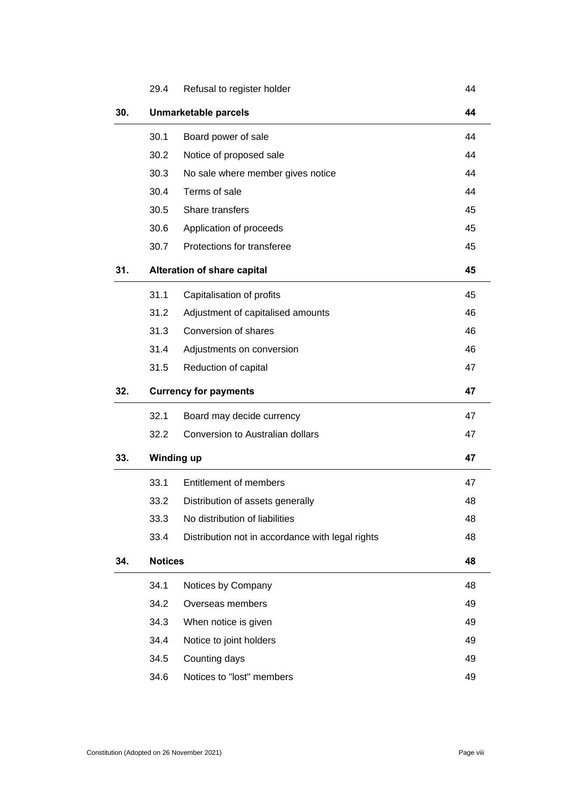|     | 29.4           | Refusal to register holder                       | 44 |
|-----|----------------|--------------------------------------------------|----|
| 30. |                | <b>Unmarketable parcels</b>                      | 44 |
|     | 30.1           | Board power of sale                              | 44 |
|     | 30.2           | Notice of proposed sale                          | 44 |
|     | 30.3           | No sale where member gives notice                | 44 |
|     | 30.4           | Terms of sale                                    | 44 |
|     | 30.5           | Share transfers                                  | 45 |
|     | 30.6           | Application of proceeds                          | 45 |
|     | 30.7           | Protections for transferee                       | 45 |
| 31. |                | Alteration of share capital                      | 45 |
|     | 31.1           | Capitalisation of profits                        | 45 |
|     | 31.2           | Adjustment of capitalised amounts                | 46 |
|     | 31.3           | Conversion of shares                             | 46 |
|     | 31.4           | Adjustments on conversion                        | 46 |
|     | 31.5           | Reduction of capital                             | 47 |
|     |                |                                                  |    |
| 32. |                | <b>Currency for payments</b>                     | 47 |
|     | 32.1           | Board may decide currency                        | 47 |
|     | 32.2           | Conversion to Australian dollars                 | 47 |
| 33. |                | <b>Winding up</b>                                | 47 |
|     | 33.1           | Entitlement of members                           | 47 |
|     | 33.2           | Distribution of assets generally                 | 48 |
|     | 33.3           | No distribution of liabilities                   | 48 |
|     | 33.4           | Distribution not in accordance with legal rights | 48 |
| 34. | <b>Notices</b> |                                                  | 48 |
|     | 34.1           | Notices by Company                               | 48 |
|     | 34.2           | Overseas members                                 | 49 |
|     | 34.3           | When notice is given                             | 49 |
|     | 34.4           | Notice to joint holders                          | 49 |
|     | 34.5           | Counting days                                    | 49 |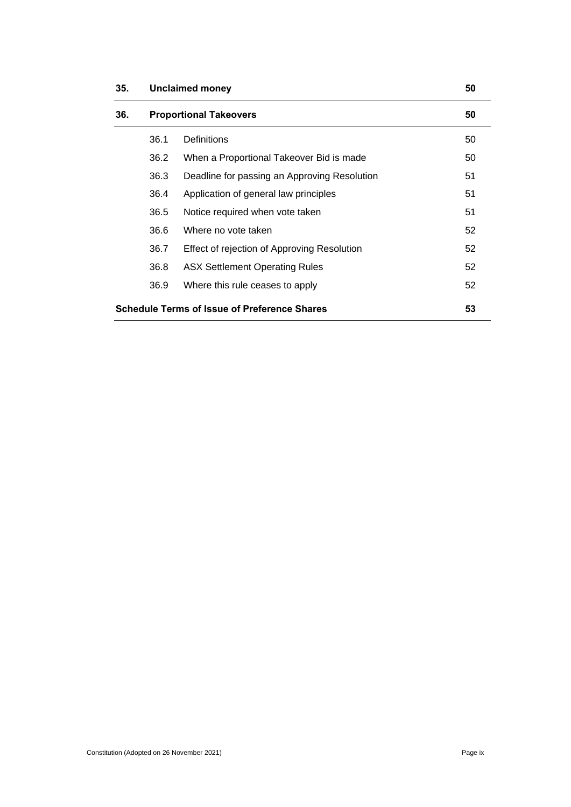| 35. | 50<br><b>Unclaimed money</b>                              |                                              |    |  |
|-----|-----------------------------------------------------------|----------------------------------------------|----|--|
| 36. | <b>Proportional Takeovers</b>                             |                                              | 50 |  |
|     | 36.1                                                      | Definitions                                  | 50 |  |
|     | 36.2                                                      | When a Proportional Takeover Bid is made     | 50 |  |
|     | 36.3                                                      | Deadline for passing an Approving Resolution | 51 |  |
|     | 36.4                                                      | Application of general law principles        | 51 |  |
|     | 36.5                                                      | Notice required when vote taken              | 51 |  |
|     | 36.6                                                      | Where no vote taken                          | 52 |  |
|     | 36.7                                                      | Effect of rejection of Approving Resolution  | 52 |  |
|     | 36.8                                                      | <b>ASX Settlement Operating Rules</b>        | 52 |  |
|     | 36.9                                                      | Where this rule ceases to apply              | 52 |  |
|     | <b>Schedule Terms of Issue of Preference Shares</b><br>53 |                                              |    |  |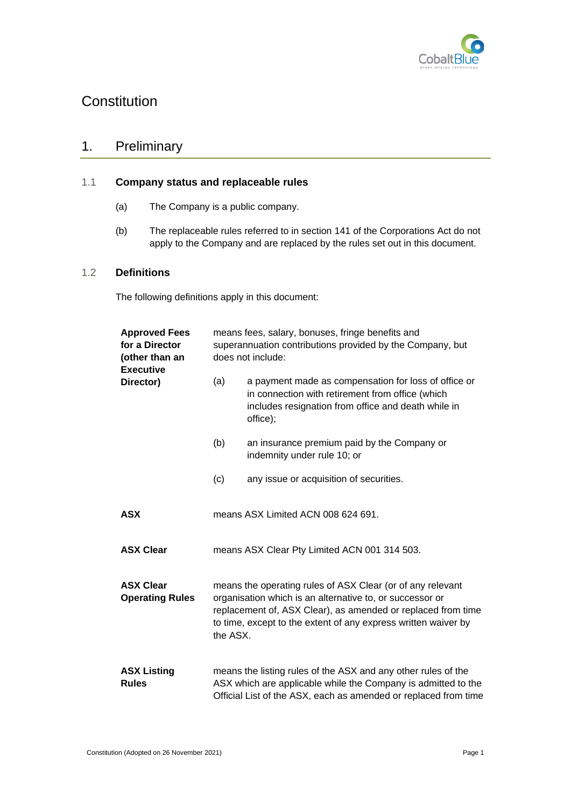

# **Constitution**

# <span id="page-9-0"></span>1. Preliminary

### <span id="page-9-1"></span>1.1 **Company status and replaceable rules**

- (a) The Company is a public company.
- (b) The replaceable rules referred to in section 141 of the Corporations Act do not apply to the Company and are replaced by the rules set out in this document.

### <span id="page-9-2"></span>1.2 **Definitions**

The following definitions apply in this document:

| <b>Approved Fees</b><br>for a Director<br>(other than an<br><b>Executive</b> |          | means fees, salary, bonuses, fringe benefits and<br>superannuation contributions provided by the Company, but<br>does not include:                                                                                                                       |
|------------------------------------------------------------------------------|----------|----------------------------------------------------------------------------------------------------------------------------------------------------------------------------------------------------------------------------------------------------------|
| Director)                                                                    | (a)      | a payment made as compensation for loss of office or<br>in connection with retirement from office (which<br>includes resignation from office and death while in<br>office);                                                                              |
|                                                                              | (b)      | an insurance premium paid by the Company or<br>indemnity under rule 10; or                                                                                                                                                                               |
|                                                                              | (c)      | any issue or acquisition of securities.                                                                                                                                                                                                                  |
| <b>ASX</b>                                                                   |          | means ASX Limited ACN 008 624 691.                                                                                                                                                                                                                       |
| <b>ASX Clear</b>                                                             |          | means ASX Clear Pty Limited ACN 001 314 503.                                                                                                                                                                                                             |
| <b>ASX Clear</b><br><b>Operating Rules</b>                                   | the ASX. | means the operating rules of ASX Clear (or of any relevant<br>organisation which is an alternative to, or successor or<br>replacement of, ASX Clear), as amended or replaced from time<br>to time, except to the extent of any express written waiver by |
| <b>ASX Listing</b><br><b>Rules</b>                                           |          | means the listing rules of the ASX and any other rules of the<br>ASX which are applicable while the Company is admitted to the<br>Official List of the ASX, each as amended or replaced from time                                                        |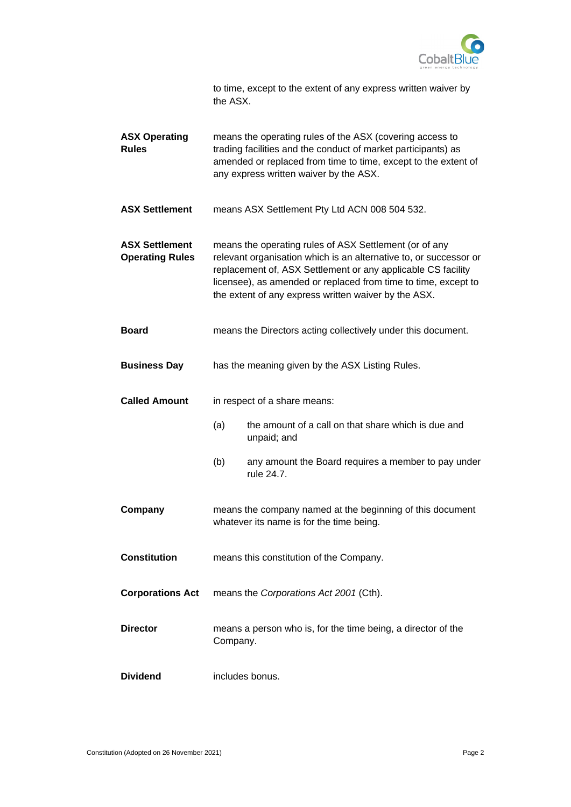

| to time, except to the extent of any express written waiver by |  |
|----------------------------------------------------------------|--|
| the ASX.                                                       |  |

| <b>ASX Operating</b><br><b>Rules</b>            |                                                                                                                                                                                                                                                                                                                       | means the operating rules of the ASX (covering access to<br>trading facilities and the conduct of market participants) as<br>amended or replaced from time to time, except to the extent of<br>any express written waiver by the ASX. |  |
|-------------------------------------------------|-----------------------------------------------------------------------------------------------------------------------------------------------------------------------------------------------------------------------------------------------------------------------------------------------------------------------|---------------------------------------------------------------------------------------------------------------------------------------------------------------------------------------------------------------------------------------|--|
| <b>ASX Settlement</b>                           |                                                                                                                                                                                                                                                                                                                       | means ASX Settlement Pty Ltd ACN 008 504 532.                                                                                                                                                                                         |  |
| <b>ASX Settlement</b><br><b>Operating Rules</b> | means the operating rules of ASX Settlement (or of any<br>relevant organisation which is an alternative to, or successor or<br>replacement of, ASX Settlement or any applicable CS facility<br>licensee), as amended or replaced from time to time, except to<br>the extent of any express written waiver by the ASX. |                                                                                                                                                                                                                                       |  |
| <b>Board</b>                                    |                                                                                                                                                                                                                                                                                                                       | means the Directors acting collectively under this document.                                                                                                                                                                          |  |
| <b>Business Day</b>                             |                                                                                                                                                                                                                                                                                                                       | has the meaning given by the ASX Listing Rules.                                                                                                                                                                                       |  |
| <b>Called Amount</b>                            |                                                                                                                                                                                                                                                                                                                       | in respect of a share means:                                                                                                                                                                                                          |  |
|                                                 | (a)                                                                                                                                                                                                                                                                                                                   | the amount of a call on that share which is due and<br>unpaid; and                                                                                                                                                                    |  |
|                                                 | (b)                                                                                                                                                                                                                                                                                                                   | any amount the Board requires a member to pay under<br>rule 24.7.                                                                                                                                                                     |  |
| Company                                         |                                                                                                                                                                                                                                                                                                                       | means the company named at the beginning of this document<br>whatever its name is for the time being.                                                                                                                                 |  |
| <b>Constitution</b>                             |                                                                                                                                                                                                                                                                                                                       | means this constitution of the Company.                                                                                                                                                                                               |  |
| <b>Corporations Act</b>                         |                                                                                                                                                                                                                                                                                                                       | means the Corporations Act 2001 (Cth).                                                                                                                                                                                                |  |
| <b>Director</b>                                 | Company.                                                                                                                                                                                                                                                                                                              | means a person who is, for the time being, a director of the                                                                                                                                                                          |  |
| <b>Dividend</b>                                 |                                                                                                                                                                                                                                                                                                                       | includes bonus.                                                                                                                                                                                                                       |  |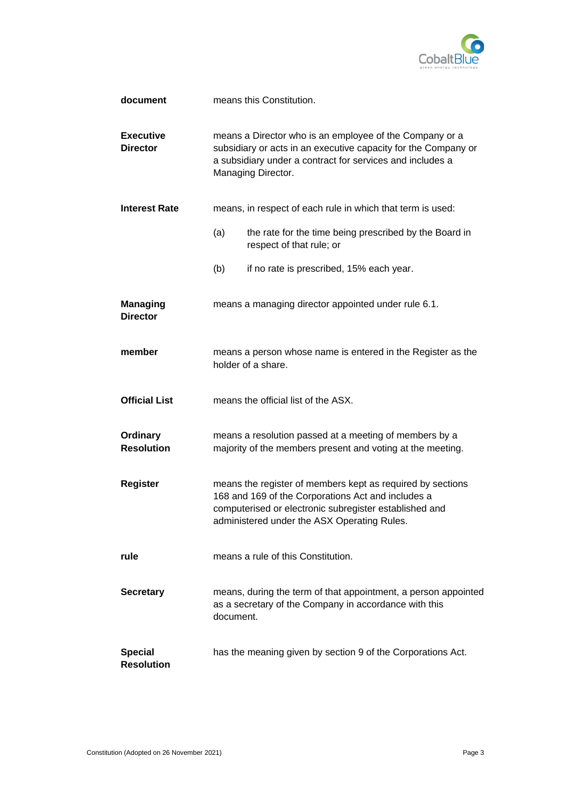

| document                            | means this Constitution.                                                                                                                                                                                                  |
|-------------------------------------|---------------------------------------------------------------------------------------------------------------------------------------------------------------------------------------------------------------------------|
| <b>Executive</b><br><b>Director</b> | means a Director who is an employee of the Company or a<br>subsidiary or acts in an executive capacity for the Company or<br>a subsidiary under a contract for services and includes a<br>Managing Director.              |
| <b>Interest Rate</b>                | means, in respect of each rule in which that term is used:                                                                                                                                                                |
|                                     | (a)<br>the rate for the time being prescribed by the Board in<br>respect of that rule; or                                                                                                                                 |
|                                     | if no rate is prescribed, 15% each year.<br>(b)                                                                                                                                                                           |
| <b>Managing</b><br><b>Director</b>  | means a managing director appointed under rule 6.1.                                                                                                                                                                       |
| member                              | means a person whose name is entered in the Register as the<br>holder of a share.                                                                                                                                         |
| <b>Official List</b>                | means the official list of the ASX.                                                                                                                                                                                       |
| Ordinary<br><b>Resolution</b>       | means a resolution passed at a meeting of members by a<br>majority of the members present and voting at the meeting.                                                                                                      |
| <b>Register</b>                     | means the register of members kept as required by sections<br>168 and 169 of the Corporations Act and includes a<br>computerised or electronic subregister established and<br>administered under the ASX Operating Rules. |
| rule                                | means a rule of this Constitution.                                                                                                                                                                                        |
| <b>Secretary</b>                    | means, during the term of that appointment, a person appointed<br>as a secretary of the Company in accordance with this<br>document.                                                                                      |
| <b>Special</b><br><b>Resolution</b> | has the meaning given by section 9 of the Corporations Act.                                                                                                                                                               |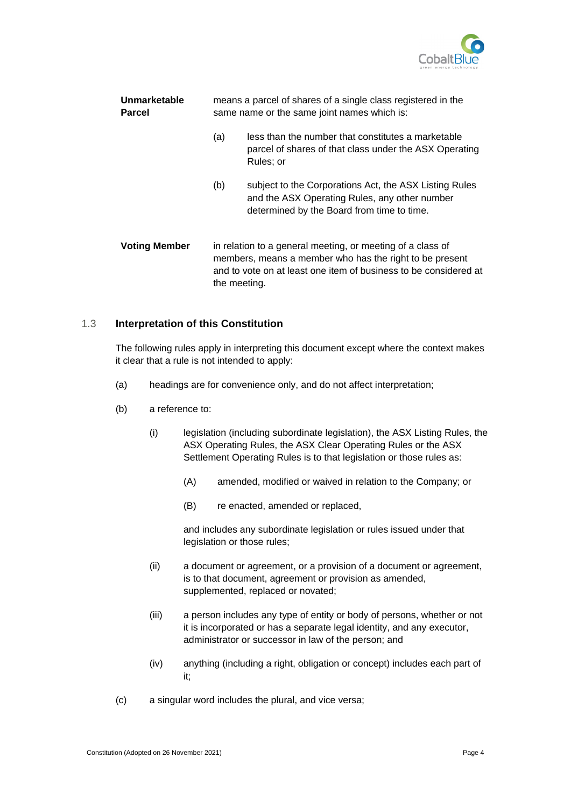

| Unmarketable<br><b>Parcel</b> | means a parcel of shares of a single class registered in the<br>same name or the same joint names which is:                                                                                               |                                                                                                                                                       |
|-------------------------------|-----------------------------------------------------------------------------------------------------------------------------------------------------------------------------------------------------------|-------------------------------------------------------------------------------------------------------------------------------------------------------|
|                               | (a)                                                                                                                                                                                                       | less than the number that constitutes a marketable<br>parcel of shares of that class under the ASX Operating<br>Rules; or                             |
|                               | (b)                                                                                                                                                                                                       | subject to the Corporations Act, the ASX Listing Rules<br>and the ASX Operating Rules, any other number<br>determined by the Board from time to time. |
| <b>Voting Member</b>          | in relation to a general meeting, or meeting of a class of<br>members, means a member who has the right to be present<br>and to vote on at least one item of business to be considered at<br>the meeting. |                                                                                                                                                       |

#### <span id="page-12-0"></span>1.3 **Interpretation of this Constitution**

The following rules apply in interpreting this document except where the context makes it clear that a rule is not intended to apply:

- (a) headings are for convenience only, and do not affect interpretation;
- (b) a reference to:
	- (i) legislation (including subordinate legislation), the ASX Listing Rules, the ASX Operating Rules, the ASX Clear Operating Rules or the ASX Settlement Operating Rules is to that legislation or those rules as:
		- (A) amended, modified or waived in relation to the Company; or
		- (B) re enacted, amended or replaced,

and includes any subordinate legislation or rules issued under that legislation or those rules;

- (ii) a document or agreement, or a provision of a document or agreement, is to that document, agreement or provision as amended, supplemented, replaced or novated;
- (iii) a person includes any type of entity or body of persons, whether or not it is incorporated or has a separate legal identity, and any executor, administrator or successor in law of the person; and
- (iv) anything (including a right, obligation or concept) includes each part of it;
- (c) a singular word includes the plural, and vice versa;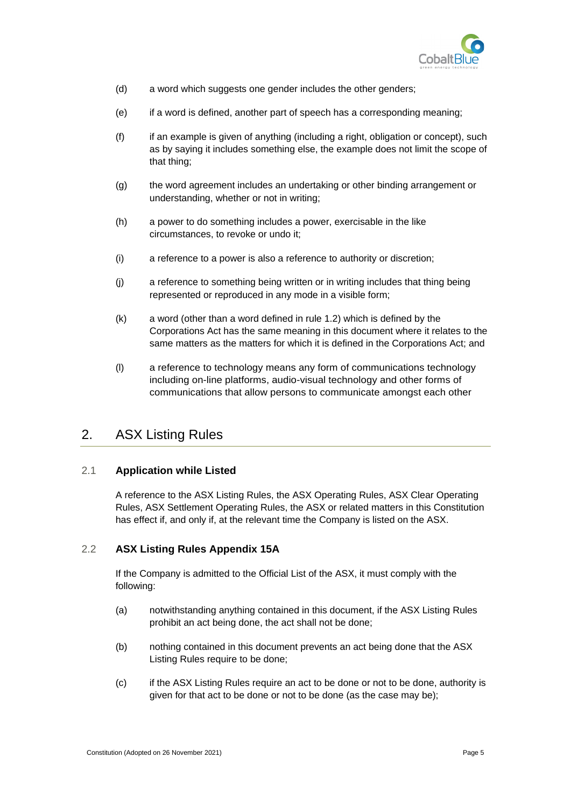

- (d) a word which suggests one gender includes the other genders;
- (e) if a word is defined, another part of speech has a corresponding meaning;
- (f) if an example is given of anything (including a right, obligation or concept), such as by saying it includes something else, the example does not limit the scope of that thing;
- (g) the word agreement includes an undertaking or other binding arrangement or understanding, whether or not in writing;
- (h) a power to do something includes a power, exercisable in the like circumstances, to revoke or undo it;
- (i) a reference to a power is also a reference to authority or discretion;
- (j) a reference to something being written or in writing includes that thing being represented or reproduced in any mode in a visible form;
- (k) a word (other than a word defined in rule [1.2\)](#page-9-2) which is defined by the Corporations Act has the same meaning in this document where it relates to the same matters as the matters for which it is defined in the Corporations Act; and
- (l) a reference to technology means any form of communications technology including on-line platforms, audio-visual technology and other forms of communications that allow persons to communicate amongst each other

# <span id="page-13-0"></span>2. ASX Listing Rules

### <span id="page-13-1"></span>2.1 **Application while Listed**

A reference to the ASX Listing Rules, the ASX Operating Rules, ASX Clear Operating Rules, ASX Settlement Operating Rules, the ASX or related matters in this Constitution has effect if, and only if, at the relevant time the Company is listed on the ASX.

### <span id="page-13-2"></span>2.2 **ASX Listing Rules Appendix 15A**

If the Company is admitted to the Official List of the ASX, it must comply with the following:

- (a) notwithstanding anything contained in this document, if the ASX Listing Rules prohibit an act being done, the act shall not be done;
- (b) nothing contained in this document prevents an act being done that the ASX Listing Rules require to be done;
- (c) if the ASX Listing Rules require an act to be done or not to be done, authority is given for that act to be done or not to be done (as the case may be);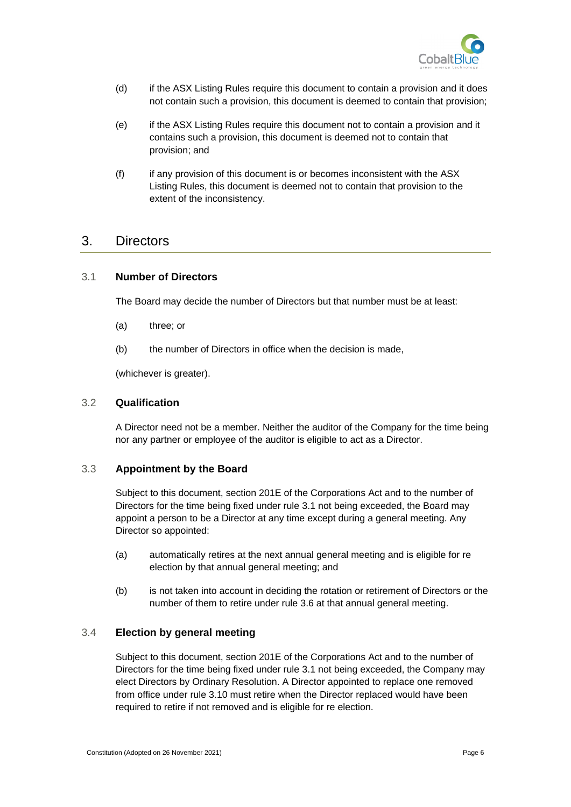

- (d) if the ASX Listing Rules require this document to contain a provision and it does not contain such a provision, this document is deemed to contain that provision;
- (e) if the ASX Listing Rules require this document not to contain a provision and it contains such a provision, this document is deemed not to contain that provision; and
- (f) if any provision of this document is or becomes inconsistent with the ASX Listing Rules, this document is deemed not to contain that provision to the extent of the inconsistency.

## <span id="page-14-0"></span>3. Directors

#### <span id="page-14-1"></span>3.1 **Number of Directors**

The Board may decide the number of Directors but that number must be at least:

- (a) three; or
- (b) the number of Directors in office when the decision is made,

(whichever is greater).

#### <span id="page-14-2"></span>3.2 **Qualification**

A Director need not be a member. Neither the auditor of the Company for the time being nor any partner or employee of the auditor is eligible to act as a Director.

#### <span id="page-14-3"></span>3.3 **Appointment by the Board**

Subject to this document, section 201E of the Corporations Act and to the number of Directors for the time being fixed under rule [3.1](#page-14-1) not being exceeded, the Board may appoint a person to be a Director at any time except during a general meeting. Any Director so appointed:

- (a) automatically retires at the next annual general meeting and is eligible for re election by that annual general meeting; and
- (b) is not taken into account in deciding the rotation or retirement of Directors or the number of them to retire under rule [3.6](#page-15-1) at that annual general meeting.

#### <span id="page-14-4"></span>3.4 **Election by general meeting**

Subject to this document, section 201E of the Corporations Act and to the number of Directors for the time being fixed under rule [3.1](#page-14-1) not being exceeded, the Company may elect Directors by Ordinary Resolution. A Director appointed to replace one removed from office under rule [3.10](#page-16-2) must retire when the Director replaced would have been required to retire if not removed and is eligible for re election.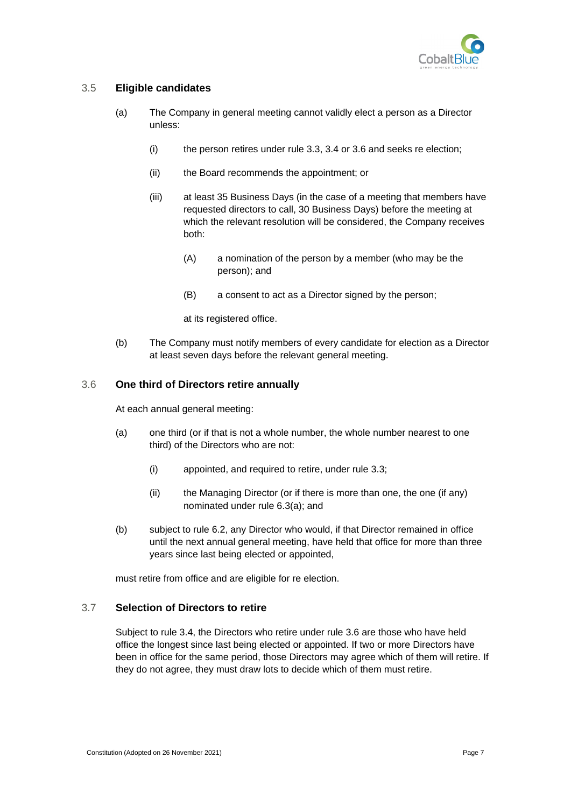

### <span id="page-15-0"></span>3.5 **Eligible candidates**

- (a) The Company in general meeting cannot validly elect a person as a Director unless:
	- (i) the person retires under rule [3.3,](#page-14-3) [3.4](#page-14-4) or [3.6](#page-15-1) and seeks re election;
	- (ii) the Board recommends the appointment; or
	- (iii) at least 35 Business Days (in the case of a meeting that members have requested directors to call, 30 Business Days) before the meeting at which the relevant resolution will be considered, the Company receives both:
		- (A) a nomination of the person by a member (who may be the person); and
		- (B) a consent to act as a Director signed by the person;
		- at its registered office.
- (b) The Company must notify members of every candidate for election as a Director at least seven days before the relevant general meeting.

#### <span id="page-15-1"></span>3.6 **One third of Directors retire annually**

At each annual general meeting:

- (a) one third (or if that is not a whole number, the whole number nearest to one third) of the Directors who are not:
	- (i) appointed, and required to retire, under rule [3.3;](#page-14-3)
	- (ii) the Managing Director (or if there is more than one, the one (if any) nominated under rule [6.3\(a\);](#page-18-3) and
- (b) subject to rule [6.2,](#page-18-0) any Director who would, if that Director remained in office until the next annual general meeting, have held that office for more than three years since last being elected or appointed,

must retire from office and are eligible for re election.

### <span id="page-15-2"></span>3.7 **Selection of Directors to retire**

Subject to rule [3.4,](#page-14-4) the Directors who retire under rule [3.6](#page-15-1) are those who have held office the longest since last being elected or appointed. If two or more Directors have been in office for the same period, those Directors may agree which of them will retire. If they do not agree, they must draw lots to decide which of them must retire.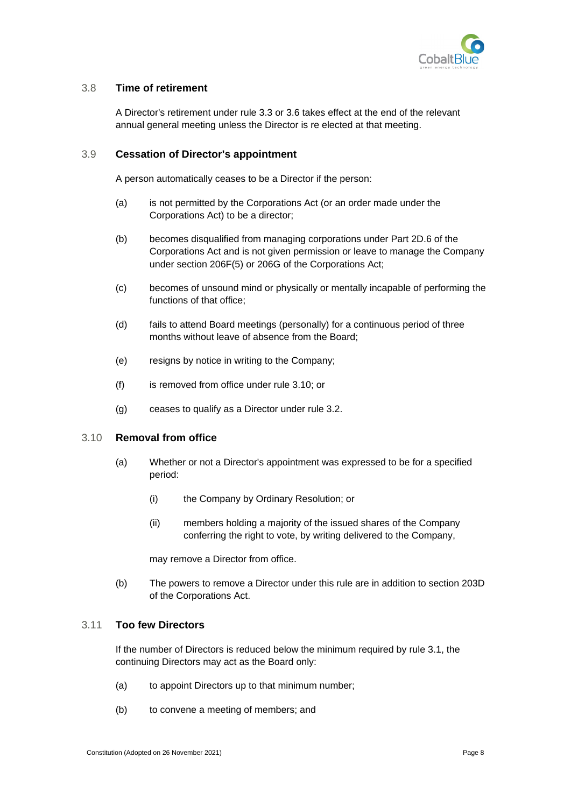

### <span id="page-16-0"></span>3.8 **Time of retirement**

A Director's retirement under rule [3.3](#page-14-3) or [3.6](#page-15-1) takes effect at the end of the relevant annual general meeting unless the Director is re elected at that meeting.

#### <span id="page-16-1"></span>3.9 **Cessation of Director's appointment**

A person automatically ceases to be a Director if the person:

- (a) is not permitted by the Corporations Act (or an order made under the Corporations Act) to be a director;
- (b) becomes disqualified from managing corporations under Part 2D.6 of the Corporations Act and is not given permission or leave to manage the Company under section 206F(5) or 206G of the Corporations Act;
- (c) becomes of unsound mind or physically or mentally incapable of performing the functions of that office;
- (d) fails to attend Board meetings (personally) for a continuous period of three months without leave of absence from the Board;
- (e) resigns by notice in writing to the Company;
- (f) is removed from office under rule [3.10;](#page-16-2) or
- (g) ceases to qualify as a Director under rule [3.2.](#page-14-2)

#### <span id="page-16-2"></span>3.10 **Removal from office**

- (a) Whether or not a Director's appointment was expressed to be for a specified period:
	- (i) the Company by Ordinary Resolution; or
	- (ii) members holding a majority of the issued shares of the Company conferring the right to vote, by writing delivered to the Company,

may remove a Director from office.

(b) The powers to remove a Director under this rule are in addition to section 203D of the Corporations Act.

### <span id="page-16-3"></span>3.11 **Too few Directors**

If the number of Directors is reduced below the minimum required by rule [3.1,](#page-14-1) the continuing Directors may act as the Board only:

- (a) to appoint Directors up to that minimum number;
- (b) to convene a meeting of members; and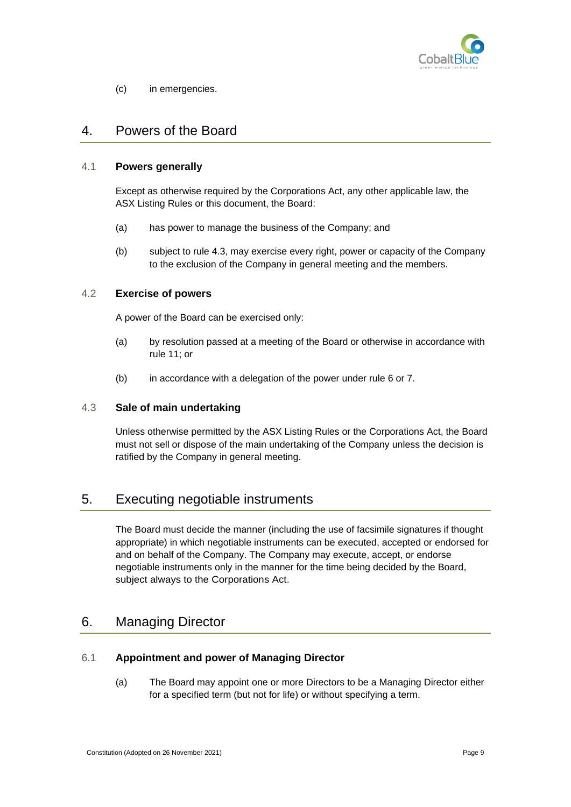

(c) in emergencies.

# <span id="page-17-0"></span>4. Powers of the Board

#### <span id="page-17-1"></span>4.1 **Powers generally**

Except as otherwise required by the Corporations Act, any other applicable law, the ASX Listing Rules or this document, the Board:

- (a) has power to manage the business of the Company; and
- (b) subject to rule [4.3,](#page-17-3) may exercise every right, power or capacity of the Company to the exclusion of the Company in general meeting and the members.

#### <span id="page-17-2"></span>4.2 **Exercise of powers**

A power of the Board can be exercised only:

- (a) by resolution passed at a meeting of the Board or otherwise in accordance with rule [11;](#page-23-3) or
- (b) in accordance with a delegation of the power under rule [6](#page-17-5) or [7.](#page-19-0)

#### <span id="page-17-3"></span>4.3 **Sale of main undertaking**

Unless otherwise permitted by the ASX Listing Rules or the Corporations Act, the Board must not sell or dispose of the main undertaking of the Company unless the decision is ratified by the Company in general meeting.

# <span id="page-17-4"></span>5. Executing negotiable instruments

The Board must decide the manner (including the use of facsimile signatures if thought appropriate) in which negotiable instruments can be executed, accepted or endorsed for and on behalf of the Company. The Company may execute, accept, or endorse negotiable instruments only in the manner for the time being decided by the Board, subject always to the Corporations Act.

# <span id="page-17-5"></span>6. Managing Director

### <span id="page-17-6"></span>6.1 **Appointment and power of Managing Director**

(a) The Board may appoint one or more Directors to be a Managing Director either for a specified term (but not for life) or without specifying a term.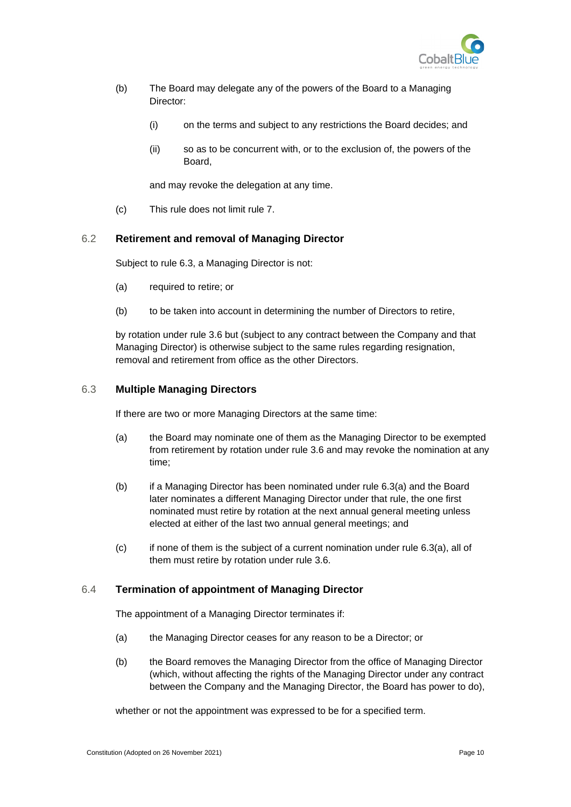

- (b) The Board may delegate any of the powers of the Board to a Managing Director:
	- (i) on the terms and subject to any restrictions the Board decides; and
	- (ii) so as to be concurrent with, or to the exclusion of, the powers of the Board,

and may revoke the delegation at any time.

(c) This rule does not limit rule [7.](#page-19-0)

#### <span id="page-18-0"></span>6.2 **Retirement and removal of Managing Director**

Subject to rule [6.3,](#page-18-1) a Managing Director is not:

- (a) required to retire; or
- (b) to be taken into account in determining the number of Directors to retire,

by rotation under rule [3.6](#page-15-1) but (subject to any contract between the Company and that Managing Director) is otherwise subject to the same rules regarding resignation, removal and retirement from office as the other Directors.

#### <span id="page-18-1"></span>6.3 **Multiple Managing Directors**

If there are two or more Managing Directors at the same time:

- <span id="page-18-3"></span>(a) the Board may nominate one of them as the Managing Director to be exempted from retirement by rotation under rule [3.6](#page-15-1) and may revoke the nomination at any time;
- (b) if a Managing Director has been nominated under rule [6.3\(a\)](#page-18-3) and the Board later nominates a different Managing Director under that rule, the one first nominated must retire by rotation at the next annual general meeting unless elected at either of the last two annual general meetings; and
- $(c)$  if none of them is the subject of a current nomination under rule [6.3\(a\),](#page-18-3) all of them must retire by rotation under rule [3.6.](#page-15-1)

#### <span id="page-18-2"></span>6.4 **Termination of appointment of Managing Director**

The appointment of a Managing Director terminates if:

- (a) the Managing Director ceases for any reason to be a Director; or
- (b) the Board removes the Managing Director from the office of Managing Director (which, without affecting the rights of the Managing Director under any contract between the Company and the Managing Director, the Board has power to do),

whether or not the appointment was expressed to be for a specified term.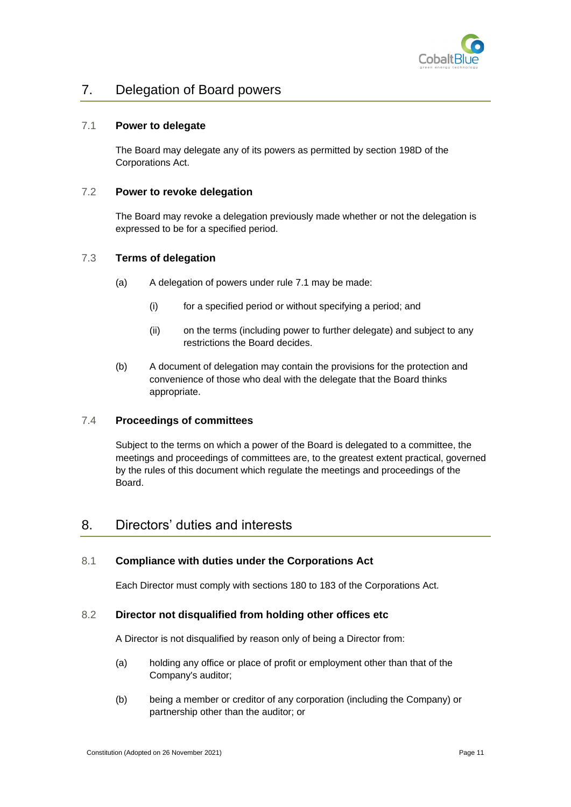

# <span id="page-19-0"></span>7. Delegation of Board powers

### <span id="page-19-1"></span>7.1 **Power to delegate**

The Board may delegate any of its powers as permitted by section 198D of the Corporations Act.

#### <span id="page-19-2"></span>7.2 **Power to revoke delegation**

The Board may revoke a delegation previously made whether or not the delegation is expressed to be for a specified period.

### <span id="page-19-3"></span>7.3 **Terms of delegation**

- (a) A delegation of powers under rule [7.1](#page-19-1) may be made:
	- (i) for a specified period or without specifying a period; and
	- (ii) on the terms (including power to further delegate) and subject to any restrictions the Board decides.
- (b) A document of delegation may contain the provisions for the protection and convenience of those who deal with the delegate that the Board thinks appropriate.

#### <span id="page-19-4"></span>7.4 **Proceedings of committees**

Subject to the terms on which a power of the Board is delegated to a committee, the meetings and proceedings of committees are, to the greatest extent practical, governed by the rules of this document which regulate the meetings and proceedings of the Board.

# <span id="page-19-5"></span>8. Directors' duties and interests

### <span id="page-19-6"></span>8.1 **Compliance with duties under the Corporations Act**

Each Director must comply with sections 180 to 183 of the Corporations Act.

#### <span id="page-19-7"></span>8.2 **Director not disqualified from holding other offices etc**

A Director is not disqualified by reason only of being a Director from:

- (a) holding any office or place of profit or employment other than that of the Company's auditor;
- (b) being a member or creditor of any corporation (including the Company) or partnership other than the auditor; or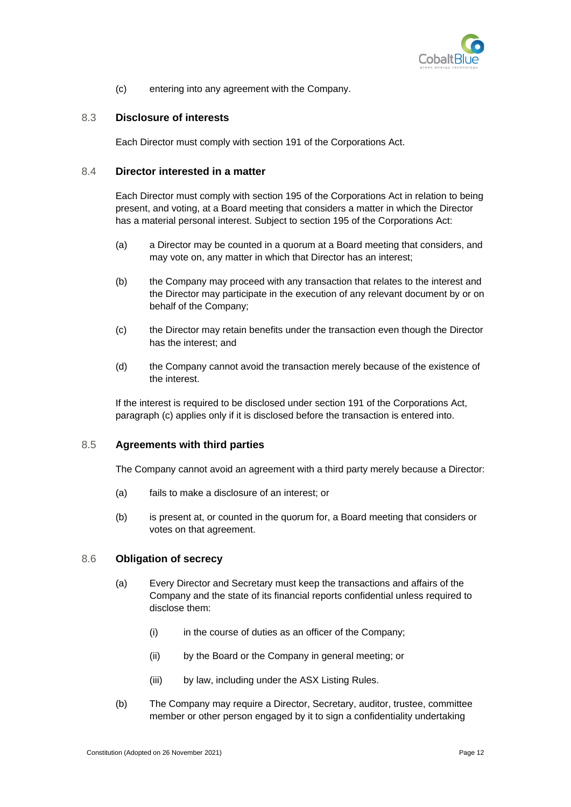

(c) entering into any agreement with the Company.

#### <span id="page-20-0"></span>8.3 **Disclosure of interests**

Each Director must comply with section 191 of the Corporations Act.

#### <span id="page-20-1"></span>8.4 **Director interested in a matter**

Each Director must comply with section 195 of the Corporations Act in relation to being present, and voting, at a Board meeting that considers a matter in which the Director has a material personal interest. Subject to section 195 of the Corporations Act:

- (a) a Director may be counted in a quorum at a Board meeting that considers, and may vote on, any matter in which that Director has an interest;
- (b) the Company may proceed with any transaction that relates to the interest and the Director may participate in the execution of any relevant document by or on behalf of the Company;
- <span id="page-20-4"></span>(c) the Director may retain benefits under the transaction even though the Director has the interest; and
- (d) the Company cannot avoid the transaction merely because of the existence of the interest.

If the interest is required to be disclosed under section 191 of the Corporations Act, paragraph [\(c\)](#page-20-4) applies only if it is disclosed before the transaction is entered into.

### <span id="page-20-2"></span>8.5 **Agreements with third parties**

The Company cannot avoid an agreement with a third party merely because a Director:

- (a) fails to make a disclosure of an interest; or
- (b) is present at, or counted in the quorum for, a Board meeting that considers or votes on that agreement.

#### <span id="page-20-3"></span>8.6 **Obligation of secrecy**

- (a) Every Director and Secretary must keep the transactions and affairs of the Company and the state of its financial reports confidential unless required to disclose them:
	- (i) in the course of duties as an officer of the Company;
	- (ii) by the Board or the Company in general meeting; or
	- (iii) by law, including under the ASX Listing Rules.
- (b) The Company may require a Director, Secretary, auditor, trustee, committee member or other person engaged by it to sign a confidentiality undertaking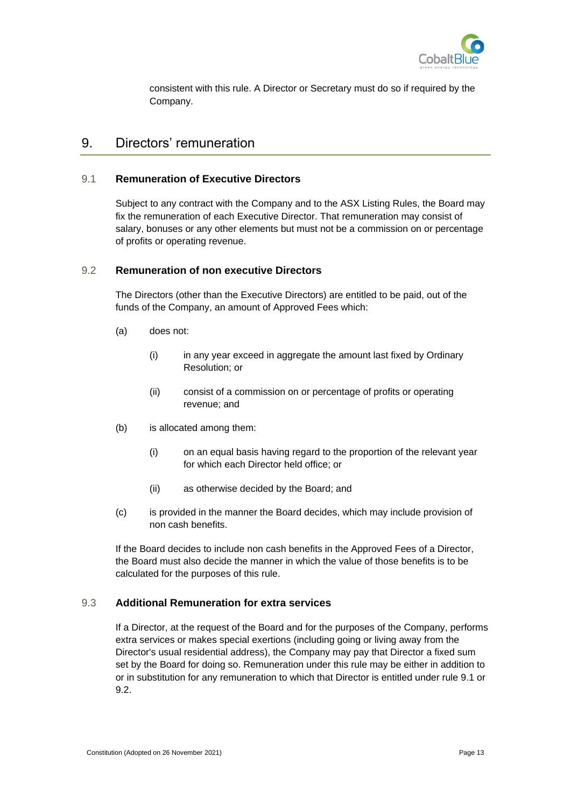

consistent with this rule. A Director or Secretary must do so if required by the Company.

# <span id="page-21-0"></span>9. Directors' remuneration

### <span id="page-21-1"></span>9.1 **Remuneration of Executive Directors**

Subject to any contract with the Company and to the ASX Listing Rules, the Board may fix the remuneration of each Executive Director. That remuneration may consist of salary, bonuses or any other elements but must not be a commission on or percentage of profits or operating revenue.

#### <span id="page-21-2"></span>9.2 **Remuneration of non executive Directors**

The Directors (other than the Executive Directors) are entitled to be paid, out of the funds of the Company, an amount of Approved Fees which:

- (a) does not:
	- (i) in any year exceed in aggregate the amount last fixed by Ordinary Resolution; or
	- (ii) consist of a commission on or percentage of profits or operating revenue; and
- (b) is allocated among them:
	- (i) on an equal basis having regard to the proportion of the relevant year for which each Director held office; or
	- (ii) as otherwise decided by the Board; and
- (c) is provided in the manner the Board decides, which may include provision of non cash benefits.

If the Board decides to include non cash benefits in the Approved Fees of a Director, the Board must also decide the manner in which the value of those benefits is to be calculated for the purposes of this rule.

#### <span id="page-21-3"></span>9.3 **Additional Remuneration for extra services**

If a Director, at the request of the Board and for the purposes of the Company, performs extra services or makes special exertions (including going or living away from the Director's usual residential address), the Company may pay that Director a fixed sum set by the Board for doing so. Remuneration under this rule may be either in addition to or in substitution for any remuneration to which that Director is entitled under rule [9.1](#page-21-1) or [9.2.](#page-21-2)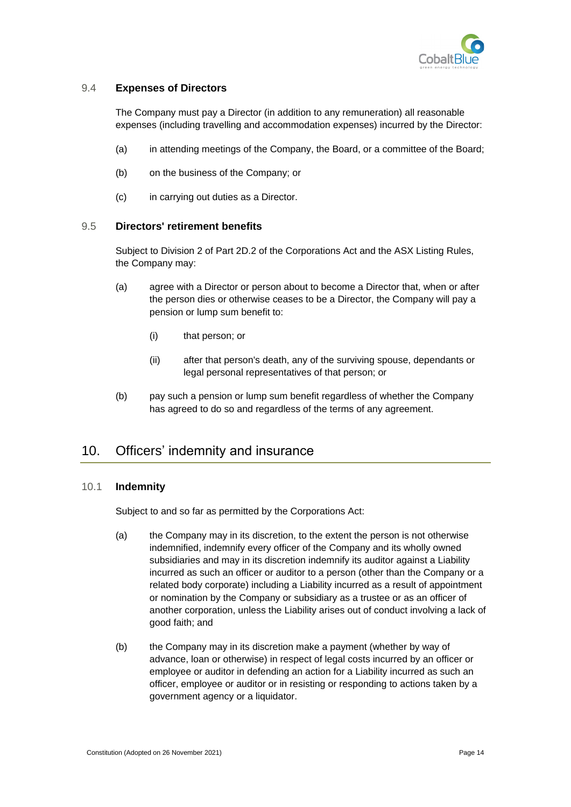

### <span id="page-22-0"></span>9.4 **Expenses of Directors**

The Company must pay a Director (in addition to any remuneration) all reasonable expenses (including travelling and accommodation expenses) incurred by the Director:

- (a) in attending meetings of the Company, the Board, or a committee of the Board;
- (b) on the business of the Company; or
- (c) in carrying out duties as a Director.

### <span id="page-22-1"></span>9.5 **Directors' retirement benefits**

Subject to Division 2 of Part 2D.2 of the Corporations Act and the ASX Listing Rules, the Company may:

- (a) agree with a Director or person about to become a Director that, when or after the person dies or otherwise ceases to be a Director, the Company will pay a pension or lump sum benefit to:
	- (i) that person; or
	- (ii) after that person's death, any of the surviving spouse, dependants or legal personal representatives of that person; or
- (b) pay such a pension or lump sum benefit regardless of whether the Company has agreed to do so and regardless of the terms of any agreement.

# <span id="page-22-2"></span>10. Officers' indemnity and insurance

#### <span id="page-22-3"></span>10.1 **Indemnity**

Subject to and so far as permitted by the Corporations Act:

- (a) the Company may in its discretion, to the extent the person is not otherwise indemnified, indemnify every officer of the Company and its wholly owned subsidiaries and may in its discretion indemnify its auditor against a Liability incurred as such an officer or auditor to a person (other than the Company or a related body corporate) including a Liability incurred as a result of appointment or nomination by the Company or subsidiary as a trustee or as an officer of another corporation, unless the Liability arises out of conduct involving a lack of good faith; and
- (b) the Company may in its discretion make a payment (whether by way of advance, loan or otherwise) in respect of legal costs incurred by an officer or employee or auditor in defending an action for a Liability incurred as such an officer, employee or auditor or in resisting or responding to actions taken by a government agency or a liquidator.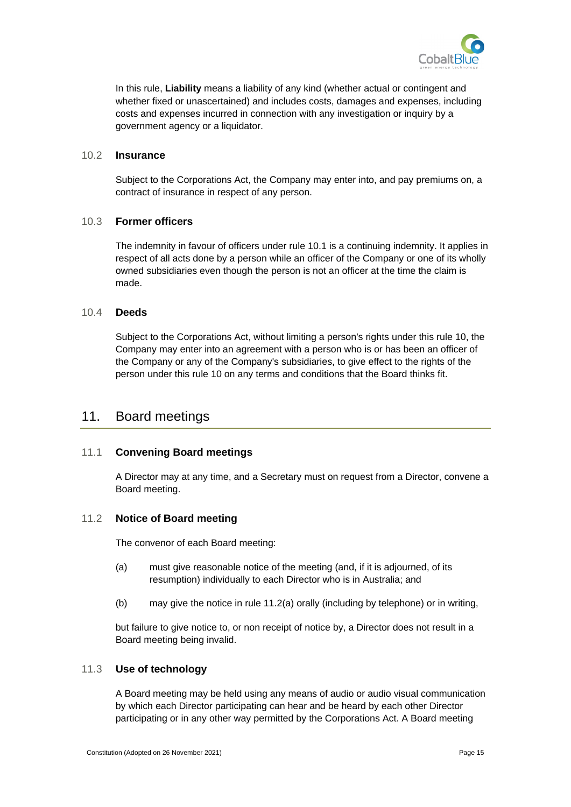

In this rule, **Liability** means a liability of any kind (whether actual or contingent and whether fixed or unascertained) and includes costs, damages and expenses, including costs and expenses incurred in connection with any investigation or inquiry by a government agency or a liquidator.

#### <span id="page-23-0"></span>10.2 **Insurance**

Subject to the Corporations Act, the Company may enter into, and pay premiums on, a contract of insurance in respect of any person.

#### <span id="page-23-1"></span>10.3 **Former officers**

The indemnity in favour of officers under rule [10.1](#page-22-3) is a continuing indemnity. It applies in respect of all acts done by a person while an officer of the Company or one of its wholly owned subsidiaries even though the person is not an officer at the time the claim is made.

#### <span id="page-23-2"></span>10.4 **Deeds**

Subject to the Corporations Act, without limiting a person's rights under this rule [10,](#page-22-2) the Company may enter into an agreement with a person who is or has been an officer of the Company or any of the Company's subsidiaries, to give effect to the rights of the person under this rule [10](#page-22-2) on any terms and conditions that the Board thinks fit.

## <span id="page-23-3"></span>11. Board meetings

#### <span id="page-23-4"></span>11.1 **Convening Board meetings**

A Director may at any time, and a Secretary must on request from a Director, convene a Board meeting.

#### <span id="page-23-5"></span>11.2 **Notice of Board meeting**

The convenor of each Board meeting:

- <span id="page-23-7"></span>(a) must give reasonable notice of the meeting (and, if it is adjourned, of its resumption) individually to each Director who is in Australia; and
- (b) may give the notice in rule [11.2\(a\)](#page-23-7) orally (including by telephone) or in writing,

but failure to give notice to, or non receipt of notice by, a Director does not result in a Board meeting being invalid.

#### <span id="page-23-6"></span>11.3 **Use of technology**

A Board meeting may be held using any means of audio or audio visual communication by which each Director participating can hear and be heard by each other Director participating or in any other way permitted by the Corporations Act. A Board meeting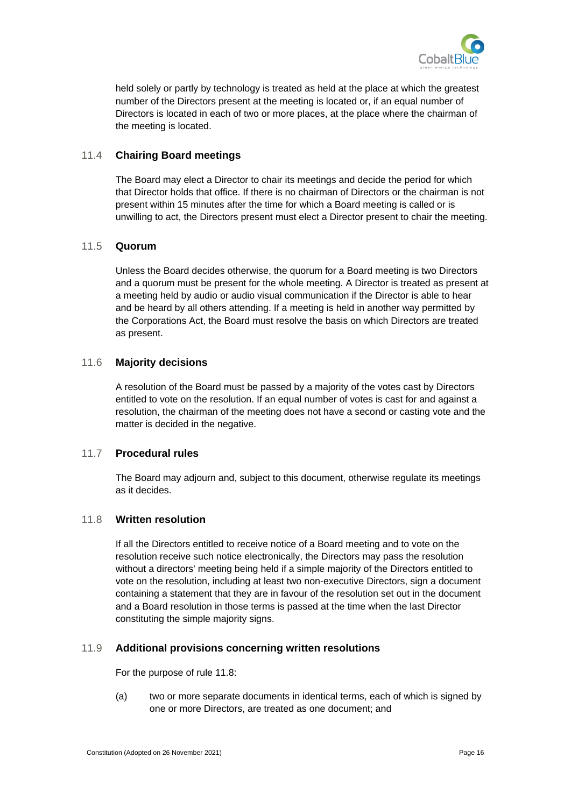

held solely or partly by technology is treated as held at the place at which the greatest number of the Directors present at the meeting is located or, if an equal number of Directors is located in each of two or more places, at the place where the chairman of the meeting is located.

### <span id="page-24-0"></span>11.4 **Chairing Board meetings**

The Board may elect a Director to chair its meetings and decide the period for which that Director holds that office. If there is no chairman of Directors or the chairman is not present within 15 minutes after the time for which a Board meeting is called or is unwilling to act, the Directors present must elect a Director present to chair the meeting.

### <span id="page-24-1"></span>11.5 **Quorum**

Unless the Board decides otherwise, the quorum for a Board meeting is two Directors and a quorum must be present for the whole meeting. A Director is treated as present at a meeting held by audio or audio visual communication if the Director is able to hear and be heard by all others attending. If a meeting is held in another way permitted by the Corporations Act, the Board must resolve the basis on which Directors are treated as present.

### <span id="page-24-2"></span>11.6 **Majority decisions**

A resolution of the Board must be passed by a majority of the votes cast by Directors entitled to vote on the resolution. If an equal number of votes is cast for and against a resolution, the chairman of the meeting does not have a second or casting vote and the matter is decided in the negative.

#### <span id="page-24-3"></span>11.7 **Procedural rules**

The Board may adjourn and, subject to this document, otherwise regulate its meetings as it decides.

#### <span id="page-24-4"></span>11.8 **Written resolution**

If all the Directors entitled to receive notice of a Board meeting and to vote on the resolution receive such notice electronically, the Directors may pass the resolution without a directors' meeting being held if a simple majority of the Directors entitled to vote on the resolution, including at least two non-executive Directors, sign a document containing a statement that they are in favour of the resolution set out in the document and a Board resolution in those terms is passed at the time when the last Director constituting the simple majority signs.

### <span id="page-24-5"></span>11.9 **Additional provisions concerning written resolutions**

For the purpose of rule [11.8:](#page-24-4)

(a) two or more separate documents in identical terms, each of which is signed by one or more Directors, are treated as one document; and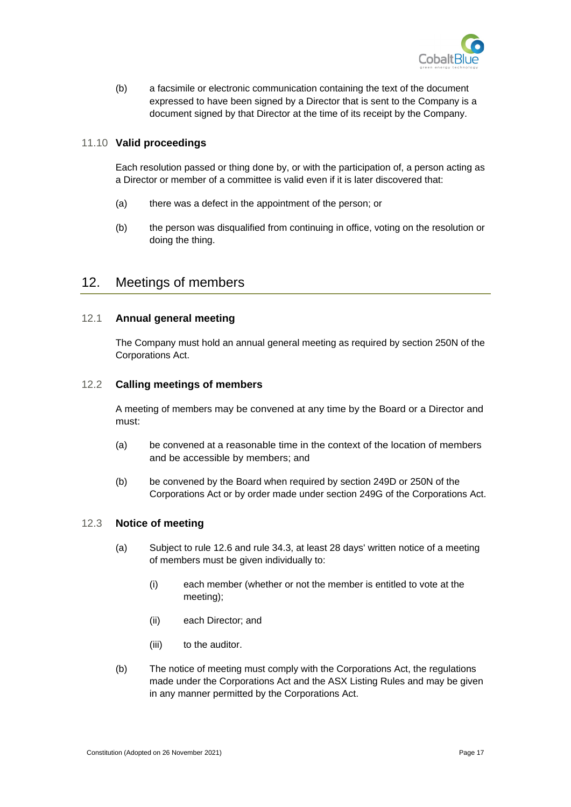

(b) a facsimile or electronic communication containing the text of the document expressed to have been signed by a Director that is sent to the Company is a document signed by that Director at the time of its receipt by the Company.

#### <span id="page-25-0"></span>11.10 **Valid proceedings**

Each resolution passed or thing done by, or with the participation of, a person acting as a Director or member of a committee is valid even if it is later discovered that:

- (a) there was a defect in the appointment of the person; or
- (b) the person was disqualified from continuing in office, voting on the resolution or doing the thing.

## <span id="page-25-1"></span>12. Meetings of members

#### <span id="page-25-2"></span>12.1 **Annual general meeting**

The Company must hold an annual general meeting as required by section 250N of the Corporations Act.

### <span id="page-25-3"></span>12.2 **Calling meetings of members**

A meeting of members may be convened at any time by the Board or a Director and must:

- (a) be convened at a reasonable time in the context of the location of members and be accessible by members; and
- (b) be convened by the Board when required by section 249D or 250N of the Corporations Act or by order made under section 249G of the Corporations Act.

#### <span id="page-25-4"></span>12.3 **Notice of meeting**

- (a) Subject to rule [12.6](#page-26-2) and rule [34.3,](#page-57-1) at least 28 days' written notice of a meeting of members must be given individually to:
	- (i) each member (whether or not the member is entitled to vote at the meeting);
	- (ii) each Director; and
	- (iii) to the auditor.
- (b) The notice of meeting must comply with the Corporations Act, the regulations made under the Corporations Act and the ASX Listing Rules and may be given in any manner permitted by the Corporations Act.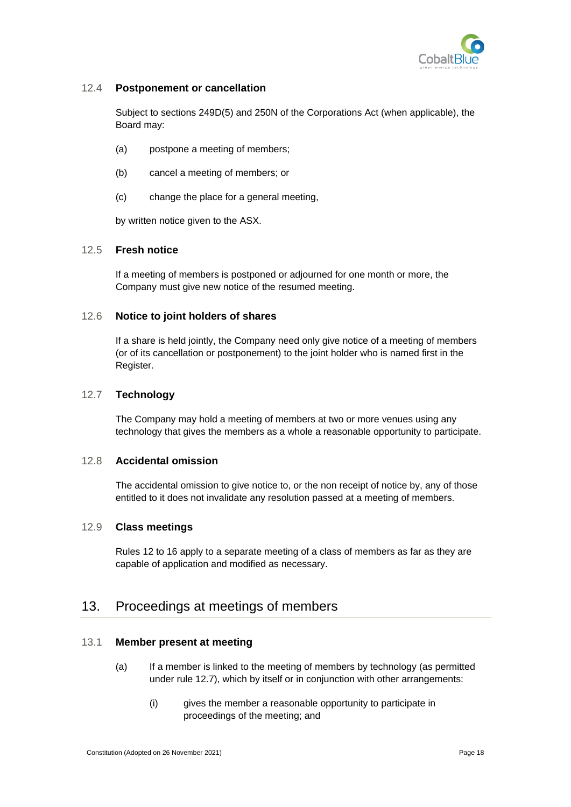

#### <span id="page-26-0"></span>12.4 **Postponement or cancellation**

Subject to sections 249D(5) and 250N of the Corporations Act (when applicable), the Board may:

- (a) postpone a meeting of members;
- (b) cancel a meeting of members; or
- (c) change the place for a general meeting,

by written notice given to the ASX.

#### <span id="page-26-1"></span>12.5 **Fresh notice**

If a meeting of members is postponed or adjourned for one month or more, the Company must give new notice of the resumed meeting.

#### <span id="page-26-2"></span>12.6 **Notice to joint holders of shares**

If a share is held jointly, the Company need only give notice of a meeting of members (or of its cancellation or postponement) to the joint holder who is named first in the Register.

#### <span id="page-26-3"></span>12.7 **Technology**

The Company may hold a meeting of members at two or more venues using any technology that gives the members as a whole a reasonable opportunity to participate.

#### <span id="page-26-4"></span>12.8 **Accidental omission**

The accidental omission to give notice to, or the non receipt of notice by, any of those entitled to it does not invalidate any resolution passed at a meeting of members.

#### <span id="page-26-5"></span>12.9 **Class meetings**

Rules [12](#page-25-1) to [16](#page-34-0) apply to a separate meeting of a class of members as far as they are capable of application and modified as necessary.

# <span id="page-26-6"></span>13. Proceedings at meetings of members

### <span id="page-26-7"></span>13.1 **Member present at meeting**

- (a) If a member is linked to the meeting of members by technology (as permitted under rule 12.7), which by itself or in conjunction with other arrangements:
	- (i) gives the member a reasonable opportunity to participate in proceedings of the meeting; and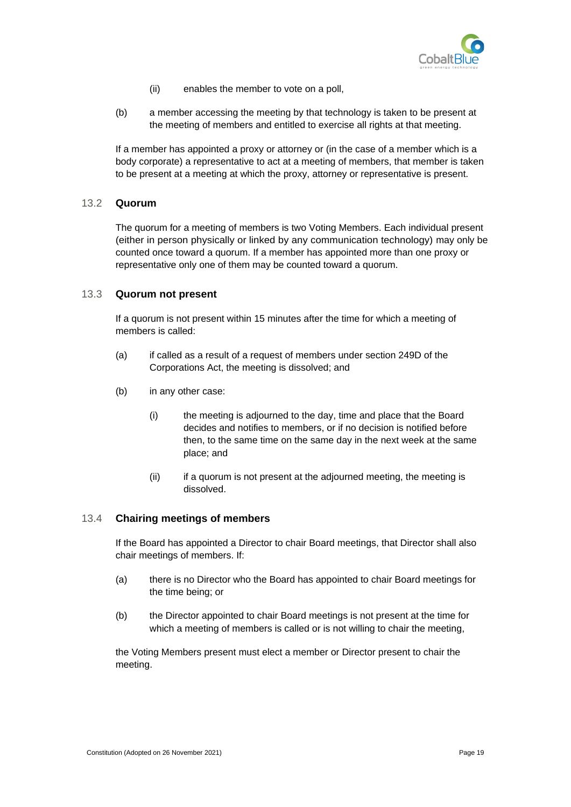

- (ii) enables the member to vote on a poll,
- (b) a member accessing the meeting by that technology is taken to be present at the meeting of members and entitled to exercise all rights at that meeting.

If a member has appointed a proxy or attorney or (in the case of a member which is a body corporate) a representative to act at a meeting of members, that member is taken to be present at a meeting at which the proxy, attorney or representative is present.

#### <span id="page-27-0"></span>13.2 **Quorum**

The quorum for a meeting of members is two Voting Members. Each individual present (either in person physically or linked by any communication technology) may only be counted once toward a quorum. If a member has appointed more than one proxy or representative only one of them may be counted toward a quorum.

#### <span id="page-27-1"></span>13.3 **Quorum not present**

If a quorum is not present within 15 minutes after the time for which a meeting of members is called:

- (a) if called as a result of a request of members under section 249D of the Corporations Act, the meeting is dissolved; and
- (b) in any other case:
	- (i) the meeting is adjourned to the day, time and place that the Board decides and notifies to members, or if no decision is notified before then, to the same time on the same day in the next week at the same place; and
	- (ii) if a quorum is not present at the adjourned meeting, the meeting is dissolved.

#### <span id="page-27-2"></span>13.4 **Chairing meetings of members**

If the Board has appointed a Director to chair Board meetings, that Director shall also chair meetings of members. If:

- (a) there is no Director who the Board has appointed to chair Board meetings for the time being; or
- (b) the Director appointed to chair Board meetings is not present at the time for which a meeting of members is called or is not willing to chair the meeting,

the Voting Members present must elect a member or Director present to chair the meeting.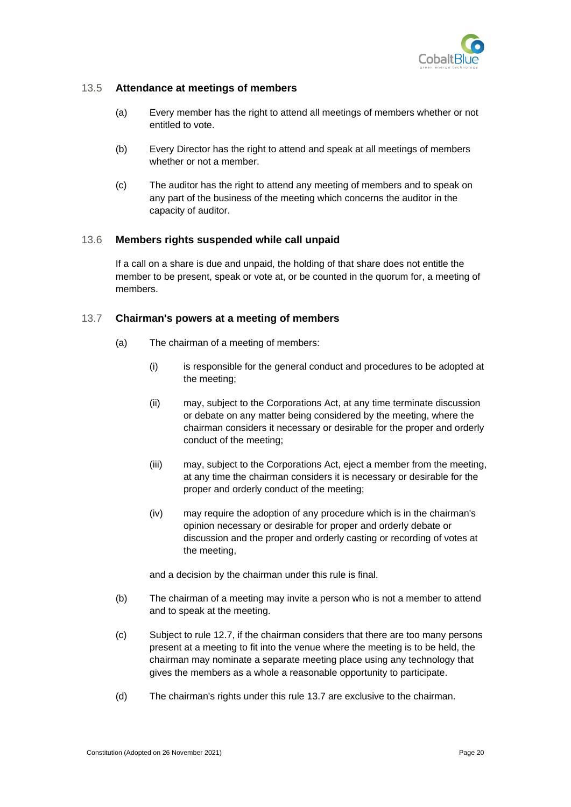

#### <span id="page-28-0"></span>13.5 **Attendance at meetings of members**

- (a) Every member has the right to attend all meetings of members whether or not entitled to vote.
- (b) Every Director has the right to attend and speak at all meetings of members whether or not a member.
- (c) The auditor has the right to attend any meeting of members and to speak on any part of the business of the meeting which concerns the auditor in the capacity of auditor.

#### <span id="page-28-1"></span>13.6 **Members rights suspended while call unpaid**

If a call on a share is due and unpaid, the holding of that share does not entitle the member to be present, speak or vote at, or be counted in the quorum for, a meeting of members.

#### <span id="page-28-2"></span>13.7 **Chairman's powers at a meeting of members**

- (a) The chairman of a meeting of members:
	- (i) is responsible for the general conduct and procedures to be adopted at the meeting;
	- (ii) may, subject to the Corporations Act, at any time terminate discussion or debate on any matter being considered by the meeting, where the chairman considers it necessary or desirable for the proper and orderly conduct of the meeting;
	- (iii) may, subject to the Corporations Act, eject a member from the meeting, at any time the chairman considers it is necessary or desirable for the proper and orderly conduct of the meeting;
	- (iv) may require the adoption of any procedure which is in the chairman's opinion necessary or desirable for proper and orderly debate or discussion and the proper and orderly casting or recording of votes at the meeting,

and a decision by the chairman under this rule is final.

- (b) The chairman of a meeting may invite a person who is not a member to attend and to speak at the meeting.
- (c) Subject to rule [12.7,](#page-26-3) if the chairman considers that there are too many persons present at a meeting to fit into the venue where the meeting is to be held, the chairman may nominate a separate meeting place using any technology that gives the members as a whole a reasonable opportunity to participate.
- (d) The chairman's rights under this rule [13.7](#page-28-2) are exclusive to the chairman.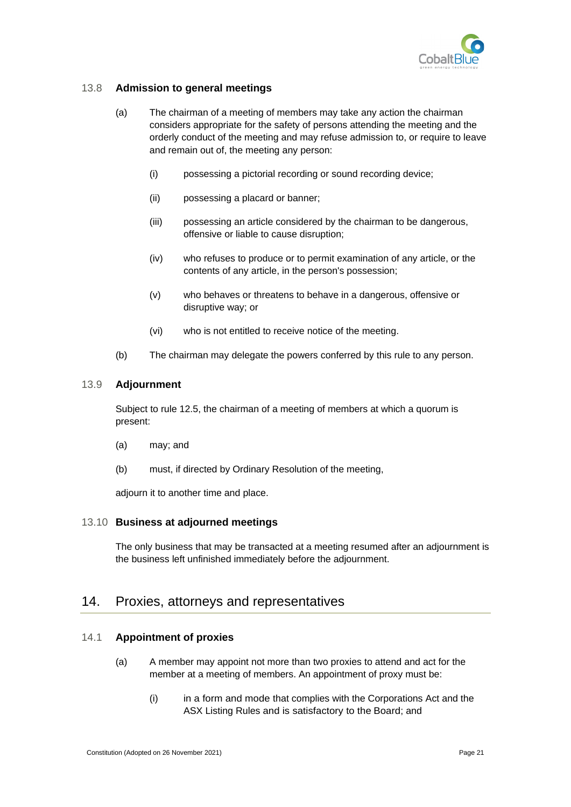

### <span id="page-29-0"></span>13.8 **Admission to general meetings**

- (a) The chairman of a meeting of members may take any action the chairman considers appropriate for the safety of persons attending the meeting and the orderly conduct of the meeting and may refuse admission to, or require to leave and remain out of, the meeting any person:
	- (i) possessing a pictorial recording or sound recording device;
	- (ii) possessing a placard or banner;
	- (iii) possessing an article considered by the chairman to be dangerous, offensive or liable to cause disruption;
	- (iv) who refuses to produce or to permit examination of any article, or the contents of any article, in the person's possession;
	- (v) who behaves or threatens to behave in a dangerous, offensive or disruptive way; or
	- (vi) who is not entitled to receive notice of the meeting.
- (b) The chairman may delegate the powers conferred by this rule to any person.

#### <span id="page-29-1"></span>13.9 **Adjournment**

Subject to rule [12.5,](#page-26-1) the chairman of a meeting of members at which a quorum is present:

- (a) may; and
- (b) must, if directed by Ordinary Resolution of the meeting,

adjourn it to another time and place.

#### <span id="page-29-2"></span>13.10 **Business at adjourned meetings**

The only business that may be transacted at a meeting resumed after an adjournment is the business left unfinished immediately before the adjournment.

## <span id="page-29-3"></span>14. Proxies, attorneys and representatives

#### <span id="page-29-4"></span>14.1 **Appointment of proxies**

- (a) A member may appoint not more than two proxies to attend and act for the member at a meeting of members. An appointment of proxy must be:
	- (i) in a form and mode that complies with the Corporations Act and the ASX Listing Rules and is satisfactory to the Board; and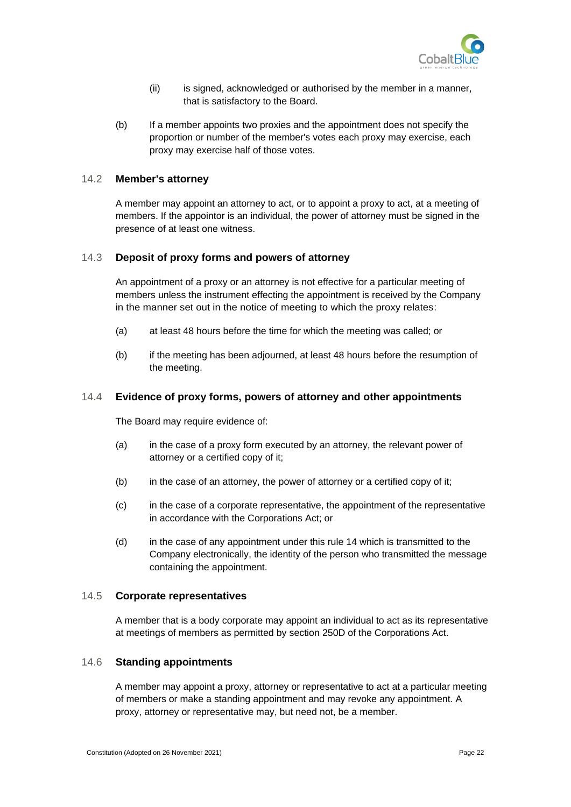

- (ii) is signed, acknowledged or authorised by the member in a manner, that is satisfactory to the Board.
- (b) If a member appoints two proxies and the appointment does not specify the proportion or number of the member's votes each proxy may exercise, each proxy may exercise half of those votes.

#### <span id="page-30-0"></span>14.2 **Member's attorney**

A member may appoint an attorney to act, or to appoint a proxy to act, at a meeting of members. If the appointor is an individual, the power of attorney must be signed in the presence of at least one witness.

#### <span id="page-30-1"></span>14.3 **Deposit of proxy forms and powers of attorney**

An appointment of a proxy or an attorney is not effective for a particular meeting of members unless the instrument effecting the appointment is received by the Company in the manner set out in the notice of meeting to which the proxy relates:

- (a) at least 48 hours before the time for which the meeting was called; or
- (b) if the meeting has been adjourned, at least 48 hours before the resumption of the meeting.

#### <span id="page-30-2"></span>14.4 **Evidence of proxy forms, powers of attorney and other appointments**

The Board may require evidence of:

- (a) in the case of a proxy form executed by an attorney, the relevant power of attorney or a certified copy of it;
- (b) in the case of an attorney, the power of attorney or a certified copy of it;
- (c) in the case of a corporate representative, the appointment of the representative in accordance with the Corporations Act; or
- (d) in the case of any appointment under this rule [14](#page-29-3) which is transmitted to the Company electronically, the identity of the person who transmitted the message containing the appointment.

#### <span id="page-30-3"></span>14.5 **Corporate representatives**

A member that is a body corporate may appoint an individual to act as its representative at meetings of members as permitted by section 250D of the Corporations Act.

#### <span id="page-30-4"></span>14.6 **Standing appointments**

A member may appoint a proxy, attorney or representative to act at a particular meeting of members or make a standing appointment and may revoke any appointment. A proxy, attorney or representative may, but need not, be a member.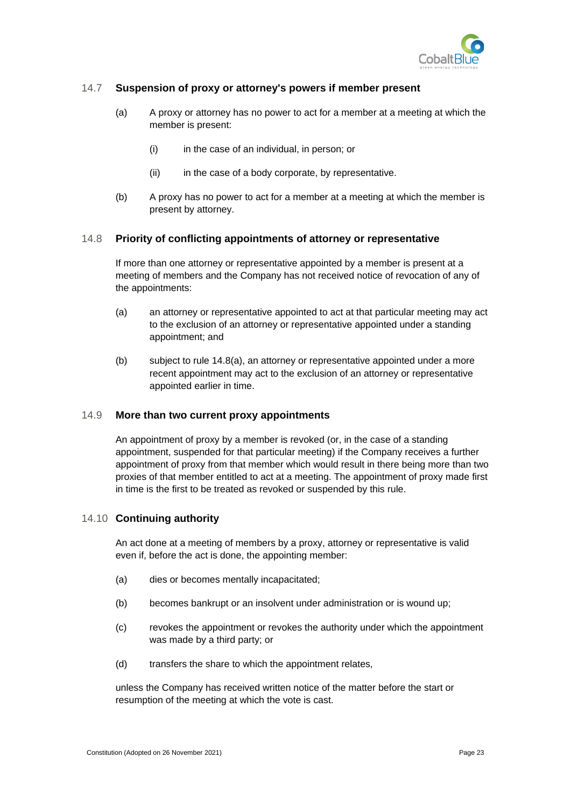

### <span id="page-31-0"></span>14.7 **Suspension of proxy or attorney's powers if member present**

- (a) A proxy or attorney has no power to act for a member at a meeting at which the member is present:
	- (i) in the case of an individual, in person; or
	- (ii) in the case of a body corporate, by representative.
- (b) A proxy has no power to act for a member at a meeting at which the member is present by attorney.

#### <span id="page-31-1"></span>14.8 **Priority of conflicting appointments of attorney or representative**

If more than one attorney or representative appointed by a member is present at a meeting of members and the Company has not received notice of revocation of any of the appointments:

- (a) an attorney or representative appointed to act at that particular meeting may act to the exclusion of an attorney or representative appointed under a standing appointment; and
- (b) subject to rule [14.8\(a\),](#page-31-1) an attorney or representative appointed under a more recent appointment may act to the exclusion of an attorney or representative appointed earlier in time.

#### <span id="page-31-2"></span>14.9 **More than two current proxy appointments**

An appointment of proxy by a member is revoked (or, in the case of a standing appointment, suspended for that particular meeting) if the Company receives a further appointment of proxy from that member which would result in there being more than two proxies of that member entitled to act at a meeting. The appointment of proxy made first in time is the first to be treated as revoked or suspended by this rule.

#### <span id="page-31-3"></span>14.10 **Continuing authority**

An act done at a meeting of members by a proxy, attorney or representative is valid even if, before the act is done, the appointing member:

- (a) dies or becomes mentally incapacitated;
- (b) becomes bankrupt or an insolvent under administration or is wound up;
- (c) revokes the appointment or revokes the authority under which the appointment was made by a third party; or
- (d) transfers the share to which the appointment relates,

unless the Company has received written notice of the matter before the start or resumption of the meeting at which the vote is cast.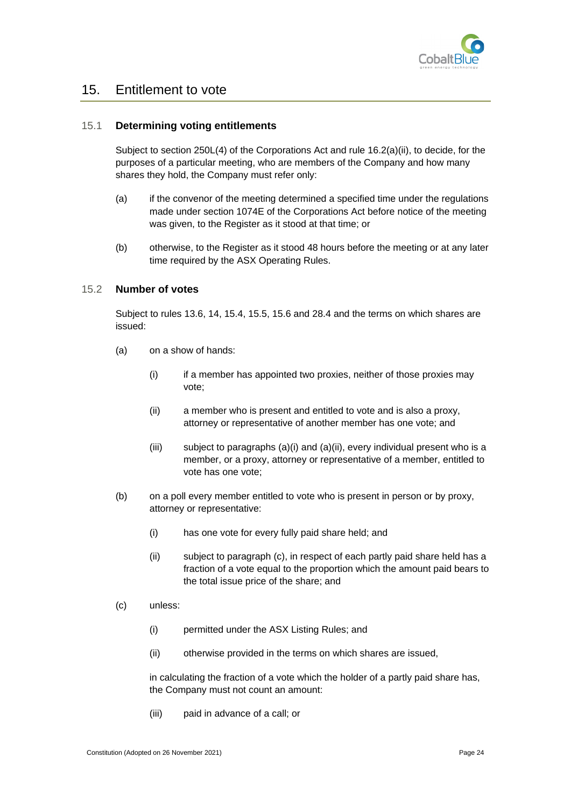

# <span id="page-32-0"></span>15. Entitlement to vote

#### <span id="page-32-1"></span>15.1 **Determining voting entitlements**

Subject to section 250L(4) of the Corporations Act and rule [16.2\(a\)\(ii\),](#page-34-6) to decide, for the purposes of a particular meeting, who are members of the Company and how many shares they hold, the Company must refer only:

- (a) if the convenor of the meeting determined a specified time under the regulations made under section 1074E of the Corporations Act before notice of the meeting was given, to the Register as it stood at that time; or
- (b) otherwise, to the Register as it stood 48 hours before the meeting or at any later time required by the ASX Operating Rules.

#### <span id="page-32-2"></span>15.2 **Number of votes**

Subject to rules [13.6,](#page-28-1) [14,](#page-29-3) [15.4,](#page-33-1) [15.5,](#page-33-2) [15.6](#page-33-3) and [28.4](#page-49-1) and the terms on which shares are issued:

- (a) on a show of hands:
	- (i) if a member has appointed two proxies, neither of those proxies may vote;
	- (ii) a member who is present and entitled to vote and is also a proxy, attorney or representative of another member has one vote; and
	- (iii) subject to paragraphs  $(a)(i)$  and  $(a)(ii)$ , every individual present who is a member, or a proxy, attorney or representative of a member, entitled to vote has one vote;
- (b) on a poll every member entitled to vote who is present in person or by proxy, attorney or representative:
	- (i) has one vote for every fully paid share held; and
	- (ii) subject to paragraph [\(c\),](#page-32-3) in respect of each partly paid share held has a fraction of a vote equal to the proportion which the amount paid bears to the total issue price of the share; and
- <span id="page-32-3"></span>(c) unless:
	- (i) permitted under the ASX Listing Rules; and
	- (ii) otherwise provided in the terms on which shares are issued,

in calculating the fraction of a vote which the holder of a partly paid share has, the Company must not count an amount:

(iii) paid in advance of a call; or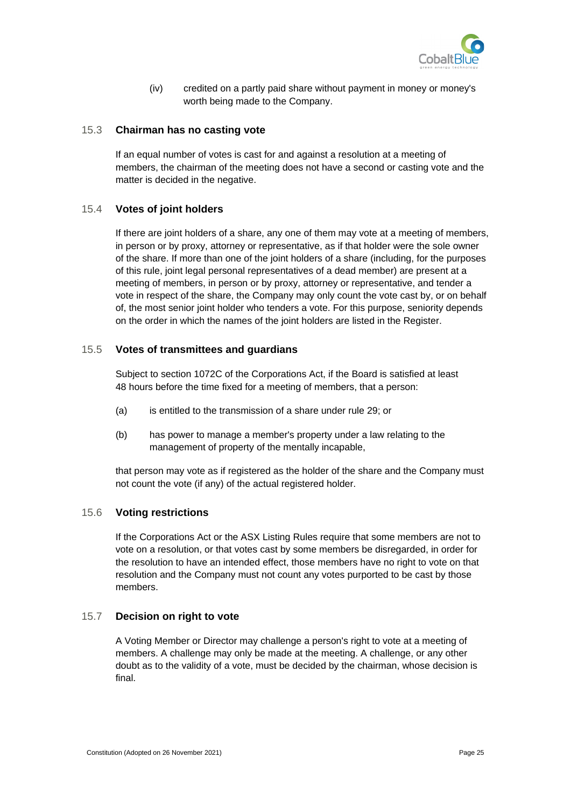

(iv) credited on a partly paid share without payment in money or money's worth being made to the Company.

#### <span id="page-33-0"></span>15.3 **Chairman has no casting vote**

If an equal number of votes is cast for and against a resolution at a meeting of members, the chairman of the meeting does not have a second or casting vote and the matter is decided in the negative.

#### <span id="page-33-1"></span>15.4 **Votes of joint holders**

If there are joint holders of a share, any one of them may vote at a meeting of members, in person or by proxy, attorney or representative, as if that holder were the sole owner of the share. If more than one of the joint holders of a share (including, for the purposes of this rule, joint legal personal representatives of a dead member) are present at a meeting of members, in person or by proxy, attorney or representative, and tender a vote in respect of the share, the Company may only count the vote cast by, or on behalf of, the most senior joint holder who tenders a vote. For this purpose, seniority depends on the order in which the names of the joint holders are listed in the Register.

#### <span id="page-33-2"></span>15.5 **Votes of transmittees and guardians**

Subject to section 1072C of the Corporations Act, if the Board is satisfied at least 48 hours before the time fixed for a meeting of members, that a person:

- (a) is entitled to the transmission of a share under rule [29;](#page-51-0) or
- (b) has power to manage a member's property under a law relating to the management of property of the mentally incapable,

that person may vote as if registered as the holder of the share and the Company must not count the vote (if any) of the actual registered holder.

#### <span id="page-33-3"></span>15.6 **Voting restrictions**

If the Corporations Act or the ASX Listing Rules require that some members are not to vote on a resolution, or that votes cast by some members be disregarded, in order for the resolution to have an intended effect, those members have no right to vote on that resolution and the Company must not count any votes purported to be cast by those members.

#### <span id="page-33-4"></span>15.7 **Decision on right to vote**

A Voting Member or Director may challenge a person's right to vote at a meeting of members. A challenge may only be made at the meeting. A challenge, or any other doubt as to the validity of a vote, must be decided by the chairman, whose decision is final.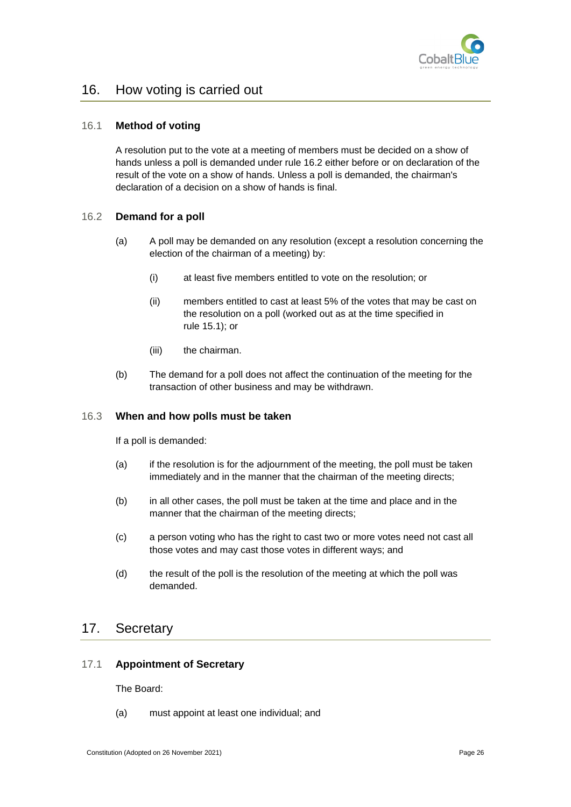

# <span id="page-34-0"></span>16. How voting is carried out

#### <span id="page-34-1"></span>16.1 **Method of voting**

A resolution put to the vote at a meeting of members must be decided on a show of hands unless a poll is demanded under rule [16.2](#page-34-2) either before or on declaration of the result of the vote on a show of hands. Unless a poll is demanded, the chairman's declaration of a decision on a show of hands is final.

#### <span id="page-34-2"></span>16.2 **Demand for a poll**

- <span id="page-34-6"></span>(a) A poll may be demanded on any resolution (except a resolution concerning the election of the chairman of a meeting) by:
	- (i) at least five members entitled to vote on the resolution; or
	- (ii) members entitled to cast at least 5% of the votes that may be cast on the resolution on a poll (worked out as at the time specified in rule [15.1\)](#page-32-1); or
	- (iii) the chairman.
- (b) The demand for a poll does not affect the continuation of the meeting for the transaction of other business and may be withdrawn.

#### <span id="page-34-3"></span>16.3 **When and how polls must be taken**

If a poll is demanded:

- (a) if the resolution is for the adjournment of the meeting, the poll must be taken immediately and in the manner that the chairman of the meeting directs;
- (b) in all other cases, the poll must be taken at the time and place and in the manner that the chairman of the meeting directs;
- (c) a person voting who has the right to cast two or more votes need not cast all those votes and may cast those votes in different ways; and
- (d) the result of the poll is the resolution of the meeting at which the poll was demanded.

# <span id="page-34-4"></span>17. Secretary

#### <span id="page-34-5"></span>17.1 **Appointment of Secretary**

The Board:

(a) must appoint at least one individual; and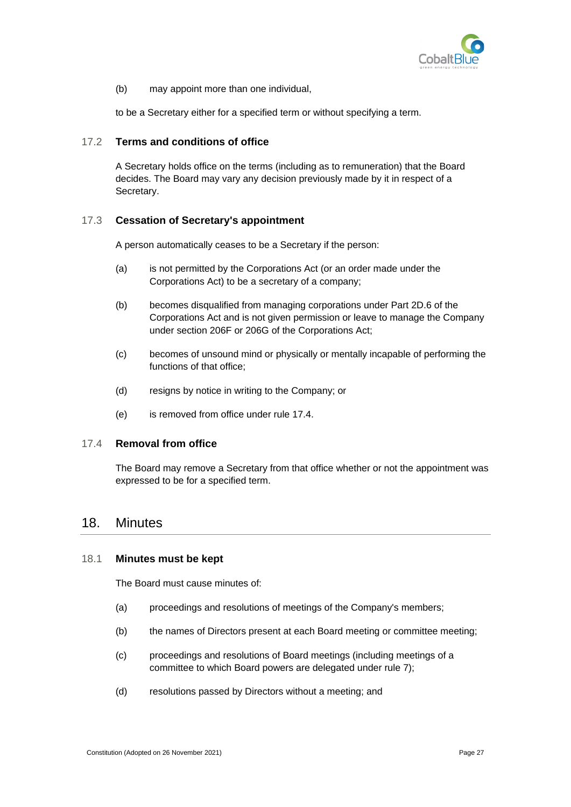

(b) may appoint more than one individual,

to be a Secretary either for a specified term or without specifying a term.

#### <span id="page-35-0"></span>17.2 **Terms and conditions of office**

A Secretary holds office on the terms (including as to remuneration) that the Board decides. The Board may vary any decision previously made by it in respect of a Secretary.

#### <span id="page-35-1"></span>17.3 **Cessation of Secretary's appointment**

A person automatically ceases to be a Secretary if the person:

- (a) is not permitted by the Corporations Act (or an order made under the Corporations Act) to be a secretary of a company;
- (b) becomes disqualified from managing corporations under Part 2D.6 of the Corporations Act and is not given permission or leave to manage the Company under section 206F or 206G of the Corporations Act;
- (c) becomes of unsound mind or physically or mentally incapable of performing the functions of that office;
- (d) resigns by notice in writing to the Company; or
- (e) is removed from office under rule [17.4.](#page-35-2)

#### <span id="page-35-2"></span>17.4 **Removal from office**

The Board may remove a Secretary from that office whether or not the appointment was expressed to be for a specified term.

## <span id="page-35-3"></span>18. Minutes

#### <span id="page-35-4"></span>18.1 **Minutes must be kept**

The Board must cause minutes of:

- (a) proceedings and resolutions of meetings of the Company's members;
- (b) the names of Directors present at each Board meeting or committee meeting;
- (c) proceedings and resolutions of Board meetings (including meetings of a committee to which Board powers are delegated under rule [7\)](#page-19-0);
- (d) resolutions passed by Directors without a meeting; and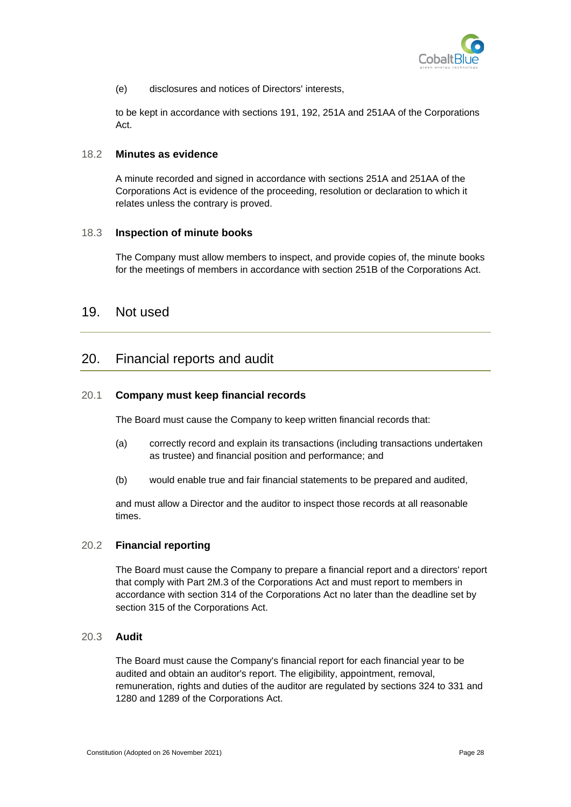

(e) disclosures and notices of Directors' interests,

to be kept in accordance with sections 191, 192, 251A and 251AA of the Corporations Act.

#### <span id="page-36-0"></span>18.2 **Minutes as evidence**

A minute recorded and signed in accordance with sections 251A and 251AA of the Corporations Act is evidence of the proceeding, resolution or declaration to which it relates unless the contrary is proved.

#### <span id="page-36-1"></span>18.3 **Inspection of minute books**

The Company must allow members to inspect, and provide copies of, the minute books for the meetings of members in accordance with section 251B of the Corporations Act.

# <span id="page-36-2"></span>19. Not used

# <span id="page-36-3"></span>20. Financial reports and audit

#### <span id="page-36-4"></span>20.1 **Company must keep financial records**

The Board must cause the Company to keep written financial records that:

- (a) correctly record and explain its transactions (including transactions undertaken as trustee) and financial position and performance; and
- (b) would enable true and fair financial statements to be prepared and audited,

and must allow a Director and the auditor to inspect those records at all reasonable times.

#### <span id="page-36-5"></span>20.2 **Financial reporting**

The Board must cause the Company to prepare a financial report and a directors' report that comply with Part 2M.3 of the Corporations Act and must report to members in accordance with section 314 of the Corporations Act no later than the deadline set by section 315 of the Corporations Act.

#### <span id="page-36-6"></span>20.3 **Audit**

The Board must cause the Company's financial report for each financial year to be audited and obtain an auditor's report. The eligibility, appointment, removal, remuneration, rights and duties of the auditor are regulated by sections 324 to 331 and 1280 and 1289 of the Corporations Act.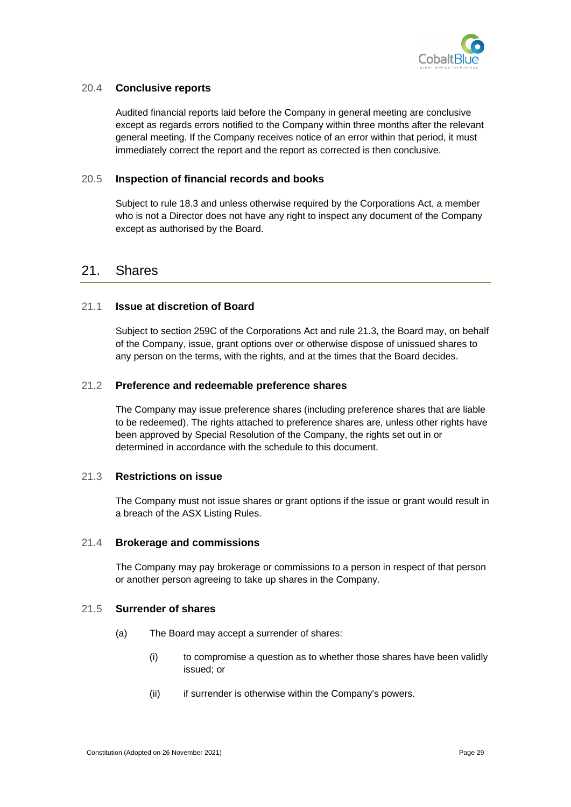

#### <span id="page-37-0"></span>20.4 **Conclusive reports**

Audited financial reports laid before the Company in general meeting are conclusive except as regards errors notified to the Company within three months after the relevant general meeting. If the Company receives notice of an error within that period, it must immediately correct the report and the report as corrected is then conclusive.

#### <span id="page-37-1"></span>20.5 **Inspection of financial records and books**

Subject to rule [18.3](#page-36-1) and unless otherwise required by the Corporations Act, a member who is not a Director does not have any right to inspect any document of the Company except as authorised by the Board.

# <span id="page-37-2"></span>21. Shares

#### <span id="page-37-3"></span>21.1 **Issue at discretion of Board**

Subject to section 259C of the Corporations Act and rule [21.3,](#page-37-5) the Board may, on behalf of the Company, issue, grant options over or otherwise dispose of unissued shares to any person on the terms, with the rights, and at the times that the Board decides.

#### <span id="page-37-4"></span>21.2 **Preference and redeemable preference shares**

The Company may issue preference shares (including preference shares that are liable to be redeemed). The rights attached to preference shares are, unless other rights have been approved by Special Resolution of the Company, the rights set out in or determined in accordance with the schedule to this document.

#### <span id="page-37-5"></span>21.3 **Restrictions on issue**

The Company must not issue shares or grant options if the issue or grant would result in a breach of the ASX Listing Rules.

#### <span id="page-37-6"></span>21.4 **Brokerage and commissions**

The Company may pay brokerage or commissions to a person in respect of that person or another person agreeing to take up shares in the Company.

#### <span id="page-37-7"></span>21.5 **Surrender of shares**

- (a) The Board may accept a surrender of shares:
	- (i) to compromise a question as to whether those shares have been validly issued; or
	- (ii) if surrender is otherwise within the Company's powers.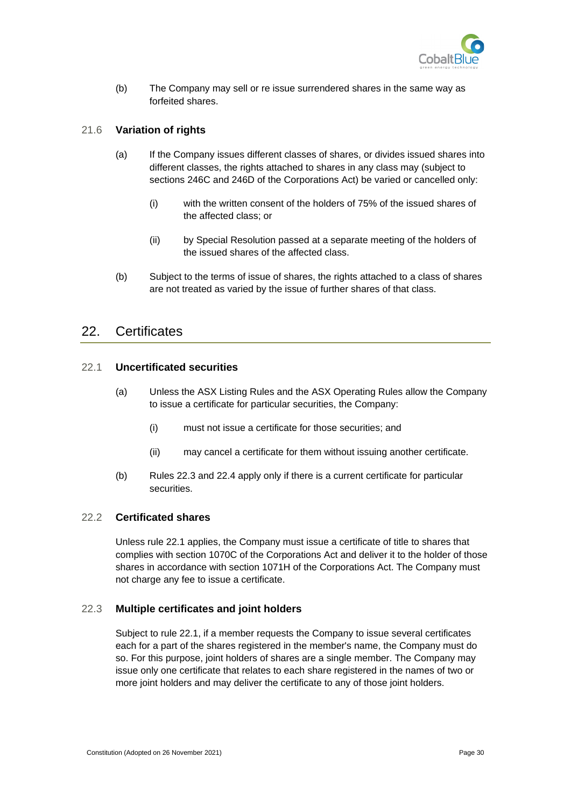

(b) The Company may sell or re issue surrendered shares in the same way as forfeited shares.

#### <span id="page-38-0"></span>21.6 **Variation of rights**

- (a) If the Company issues different classes of shares, or divides issued shares into different classes, the rights attached to shares in any class may (subject to sections 246C and 246D of the Corporations Act) be varied or cancelled only:
	- (i) with the written consent of the holders of 75% of the issued shares of the affected class; or
	- (ii) by Special Resolution passed at a separate meeting of the holders of the issued shares of the affected class.
- (b) Subject to the terms of issue of shares, the rights attached to a class of shares are not treated as varied by the issue of further shares of that class.

## <span id="page-38-1"></span>22. Certificates

#### <span id="page-38-2"></span>22.1 **Uncertificated securities**

- (a) Unless the ASX Listing Rules and the ASX Operating Rules allow the Company to issue a certificate for particular securities, the Company:
	- (i) must not issue a certificate for those securities; and
	- (ii) may cancel a certificate for them without issuing another certificate.
- (b) Rules [22.3](#page-38-4) and [22.4](#page-39-0) apply only if there is a current certificate for particular securities.

#### <span id="page-38-3"></span>22.2 **Certificated shares**

Unless rule [22.1](#page-38-2) applies, the Company must issue a certificate of title to shares that complies with section 1070C of the Corporations Act and deliver it to the holder of those shares in accordance with section 1071H of the Corporations Act. The Company must not charge any fee to issue a certificate.

#### <span id="page-38-4"></span>22.3 **Multiple certificates and joint holders**

Subject to rule [22.1,](#page-38-2) if a member requests the Company to issue several certificates each for a part of the shares registered in the member's name, the Company must do so. For this purpose, joint holders of shares are a single member. The Company may issue only one certificate that relates to each share registered in the names of two or more joint holders and may deliver the certificate to any of those joint holders.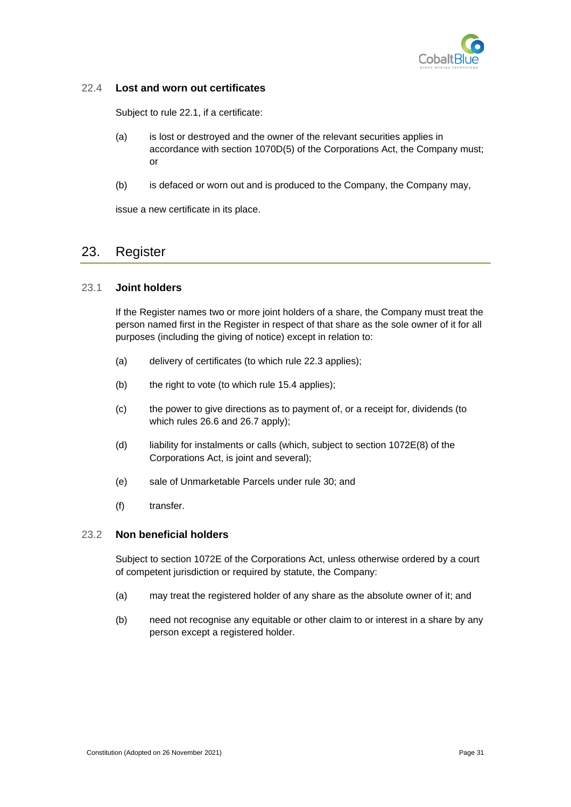

#### <span id="page-39-0"></span>22.4 **Lost and worn out certificates**

Subject to rule [22.1,](#page-38-2) if a certificate:

- (a) is lost or destroyed and the owner of the relevant securities applies in accordance with section 1070D(5) of the Corporations Act, the Company must; or
- (b) is defaced or worn out and is produced to the Company, the Company may,

issue a new certificate in its place.

# <span id="page-39-1"></span>23. Register

#### <span id="page-39-2"></span>23.1 **Joint holders**

If the Register names two or more joint holders of a share, the Company must treat the person named first in the Register in respect of that share as the sole owner of it for all purposes (including the giving of notice) except in relation to:

- (a) delivery of certificates (to which rule [22.3](#page-38-4) applies);
- (b) the right to vote (to which rule [15.4](#page-33-1) applies);
- (c) the power to give directions as to payment of, or a receipt for, dividends (to which rules [26.6](#page-46-2) and [26.7](#page-47-0) apply);
- (d) liability for instalments or calls (which, subject to section 1072E(8) of the Corporations Act, is joint and several);
- (e) sale of Unmarketable Parcels under rule [30;](#page-52-1) and
- (f) transfer.

#### <span id="page-39-3"></span>23.2 **Non beneficial holders**

Subject to section 1072E of the Corporations Act, unless otherwise ordered by a court of competent jurisdiction or required by statute, the Company:

- (a) may treat the registered holder of any share as the absolute owner of it; and
- (b) need not recognise any equitable or other claim to or interest in a share by any person except a registered holder.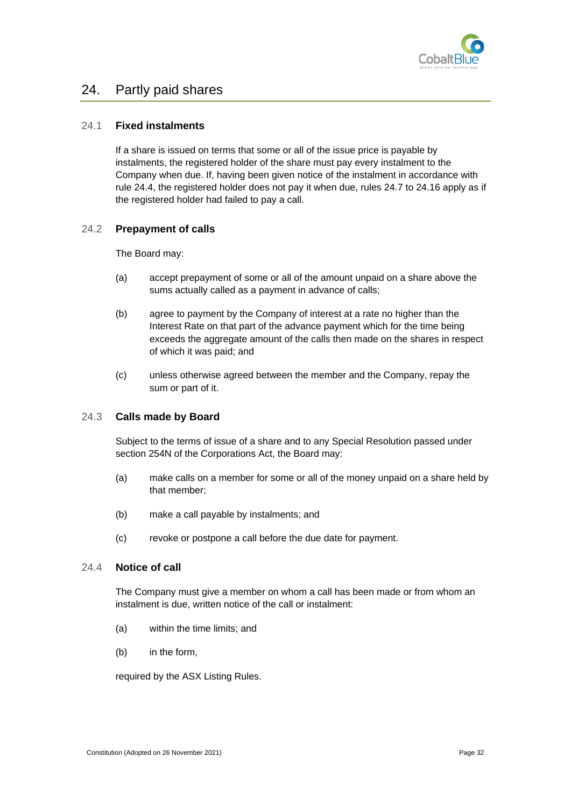

# <span id="page-40-0"></span>24. Partly paid shares

#### <span id="page-40-1"></span>24.1 **Fixed instalments**

If a share is issued on terms that some or all of the issue price is payable by instalments, the registered holder of the share must pay every instalment to the Company when due. If, having been given notice of the instalment in accordance with rule [24.4,](#page-40-4) the registered holder does not pay it when due, rules [24.7](#page-41-2) to [24.16](#page-43-1) apply as if the registered holder had failed to pay a call.

#### <span id="page-40-2"></span>24.2 **Prepayment of calls**

The Board may:

- (a) accept prepayment of some or all of the amount unpaid on a share above the sums actually called as a payment in advance of calls;
- (b) agree to payment by the Company of interest at a rate no higher than the Interest Rate on that part of the advance payment which for the time being exceeds the aggregate amount of the calls then made on the shares in respect of which it was paid; and
- (c) unless otherwise agreed between the member and the Company, repay the sum or part of it.

#### <span id="page-40-3"></span>24.3 **Calls made by Board**

Subject to the terms of issue of a share and to any Special Resolution passed under section 254N of the Corporations Act, the Board may:

- (a) make calls on a member for some or all of the money unpaid on a share held by that member;
- (b) make a call payable by instalments; and
- (c) revoke or postpone a call before the due date for payment.

#### <span id="page-40-4"></span>24.4 **Notice of call**

The Company must give a member on whom a call has been made or from whom an instalment is due, written notice of the call or instalment:

- (a) within the time limits; and
- (b) in the form,

required by the ASX Listing Rules.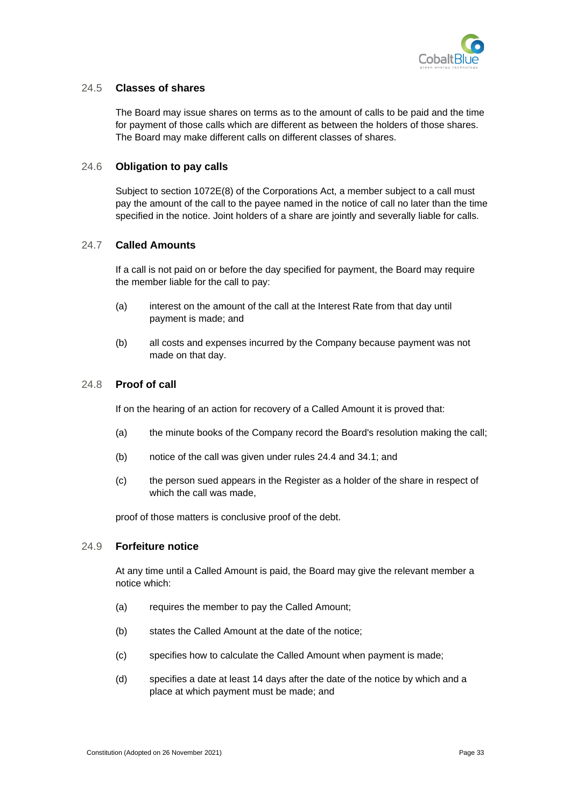

#### <span id="page-41-0"></span>24.5 **Classes of shares**

The Board may issue shares on terms as to the amount of calls to be paid and the time for payment of those calls which are different as between the holders of those shares. The Board may make different calls on different classes of shares.

#### <span id="page-41-1"></span>24.6 **Obligation to pay calls**

Subject to section 1072E(8) of the Corporations Act, a member subject to a call must pay the amount of the call to the payee named in the notice of call no later than the time specified in the notice. Joint holders of a share are jointly and severally liable for calls.

#### <span id="page-41-2"></span>24.7 **Called Amounts**

If a call is not paid on or before the day specified for payment, the Board may require the member liable for the call to pay:

- (a) interest on the amount of the call at the Interest Rate from that day until payment is made; and
- (b) all costs and expenses incurred by the Company because payment was not made on that day.

#### <span id="page-41-3"></span>24.8 **Proof of call**

If on the hearing of an action for recovery of a Called Amount it is proved that:

- (a) the minute books of the Company record the Board's resolution making the call;
- (b) notice of the call was given under rules [24.4](#page-40-4) an[d 34.1;](#page-56-4) and
- (c) the person sued appears in the Register as a holder of the share in respect of which the call was made.

proof of those matters is conclusive proof of the debt.

#### <span id="page-41-4"></span>24.9 **Forfeiture notice**

At any time until a Called Amount is paid, the Board may give the relevant member a notice which:

- (a) requires the member to pay the Called Amount;
- (b) states the Called Amount at the date of the notice;
- (c) specifies how to calculate the Called Amount when payment is made;
- (d) specifies a date at least 14 days after the date of the notice by which and a place at which payment must be made; and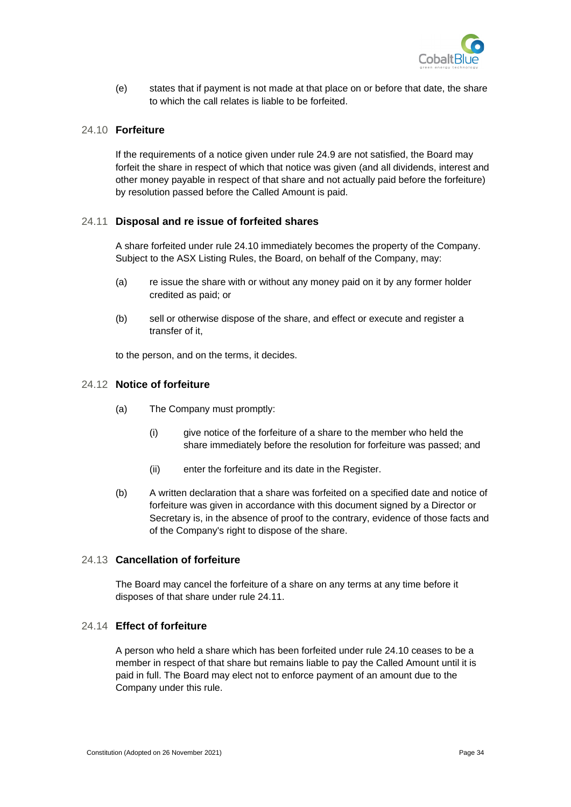

(e) states that if payment is not made at that place on or before that date, the share to which the call relates is liable to be forfeited.

#### <span id="page-42-0"></span>24.10 **Forfeiture**

If the requirements of a notice given under rule [24.9](#page-41-4) are not satisfied, the Board may forfeit the share in respect of which that notice was given (and all dividends, interest and other money payable in respect of that share and not actually paid before the forfeiture) by resolution passed before the Called Amount is paid.

#### <span id="page-42-1"></span>24.11 **Disposal and re issue of forfeited shares**

A share forfeited under rule [24.10](#page-42-0) immediately becomes the property of the Company. Subject to the ASX Listing Rules, the Board, on behalf of the Company, may:

- (a) re issue the share with or without any money paid on it by any former holder credited as paid; or
- (b) sell or otherwise dispose of the share, and effect or execute and register a transfer of it,

to the person, and on the terms, it decides.

#### <span id="page-42-2"></span>24.12 **Notice of forfeiture**

- (a) The Company must promptly:
	- (i) give notice of the forfeiture of a share to the member who held the share immediately before the resolution for forfeiture was passed; and
	- (ii) enter the forfeiture and its date in the Register.
- (b) A written declaration that a share was forfeited on a specified date and notice of forfeiture was given in accordance with this document signed by a Director or Secretary is, in the absence of proof to the contrary, evidence of those facts and of the Company's right to dispose of the share.

#### <span id="page-42-3"></span>24.13 **Cancellation of forfeiture**

The Board may cancel the forfeiture of a share on any terms at any time before it disposes of that share under rule [24.11.](#page-42-1)

### <span id="page-42-4"></span>24.14 **Effect of forfeiture**

A person who held a share which has been forfeited under rule [24.10](#page-42-0) ceases to be a member in respect of that share but remains liable to pay the Called Amount until it is paid in full. The Board may elect not to enforce payment of an amount due to the Company under this rule.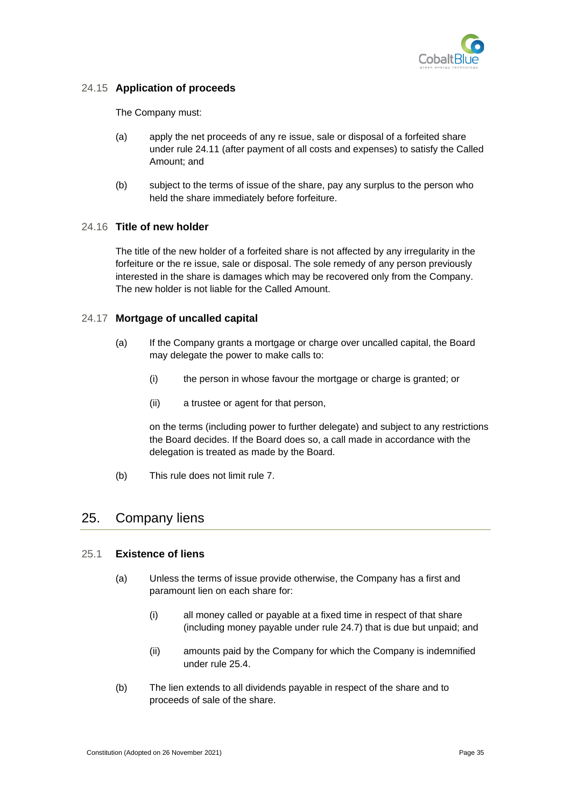

### <span id="page-43-0"></span>24.15 **Application of proceeds**

The Company must:

- (a) apply the net proceeds of any re issue, sale or disposal of a forfeited share under rule [24.11](#page-42-1) (after payment of all costs and expenses) to satisfy the Called Amount; and
- (b) subject to the terms of issue of the share, pay any surplus to the person who held the share immediately before forfeiture.

### <span id="page-43-1"></span>24.16 **Title of new holder**

The title of the new holder of a forfeited share is not affected by any irregularity in the forfeiture or the re issue, sale or disposal. The sole remedy of any person previously interested in the share is damages which may be recovered only from the Company. The new holder is not liable for the Called Amount.

### <span id="page-43-2"></span>24.17 **Mortgage of uncalled capital**

- (a) If the Company grants a mortgage or charge over uncalled capital, the Board may delegate the power to make calls to:
	- (i) the person in whose favour the mortgage or charge is granted; or
	- (ii) a trustee or agent for that person,

on the terms (including power to further delegate) and subject to any restrictions the Board decides. If the Board does so, a call made in accordance with the delegation is treated as made by the Board.

(b) This rule does not limit rule [7.](#page-19-0)

# <span id="page-43-3"></span>25. Company liens

### <span id="page-43-4"></span>25.1 **Existence of liens**

- (a) Unless the terms of issue provide otherwise, the Company has a first and paramount lien on each share for:
	- (i) all money called or payable at a fixed time in respect of that share (including money payable under rule [24.7\)](#page-41-2) that is due but unpaid; and
	- (ii) amounts paid by the Company for which the Company is indemnified under rule [25.4.](#page-44-2)
- (b) The lien extends to all dividends payable in respect of the share and to proceeds of sale of the share.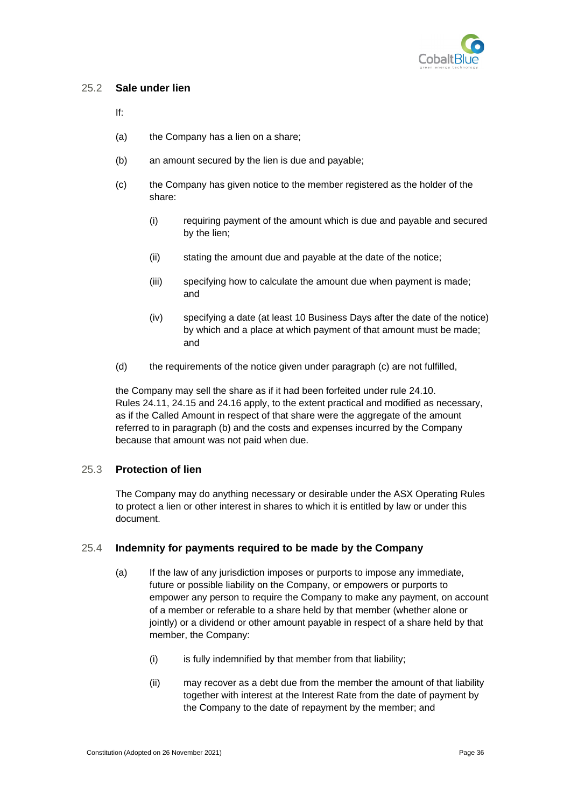

#### <span id="page-44-0"></span>25.2 **Sale under lien**

If:

- (a) the Company has a lien on a share;
- <span id="page-44-4"></span>(b) an amount secured by the lien is due and payable;
- <span id="page-44-3"></span>(c) the Company has given notice to the member registered as the holder of the share:
	- (i) requiring payment of the amount which is due and payable and secured by the lien;
	- (ii) stating the amount due and payable at the date of the notice;
	- (iii) specifying how to calculate the amount due when payment is made; and
	- (iv) specifying a date (at least 10 Business Days after the date of the notice) by which and a place at which payment of that amount must be made; and
- (d) the requirements of the notice given under paragraph [\(c\)](#page-44-3) are not fulfilled,

the Company may sell the share as if it had been forfeited under rule [24.10.](#page-42-0) Rules [24.11,](#page-42-1) [24.15](#page-43-0) and [24.16](#page-43-1) apply, to the extent practical and modified as necessary, as if the Called Amount in respect of that share were the aggregate of the amount referred to in paragraph [\(b\)](#page-44-4) and the costs and expenses incurred by the Company because that amount was not paid when due.

### <span id="page-44-1"></span>25.3 **Protection of lien**

The Company may do anything necessary or desirable under the ASX Operating Rules to protect a lien or other interest in shares to which it is entitled by law or under this document.

#### <span id="page-44-2"></span>25.4 **Indemnity for payments required to be made by the Company**

- (a) If the law of any jurisdiction imposes or purports to impose any immediate, future or possible liability on the Company, or empowers or purports to empower any person to require the Company to make any payment, on account of a member or referable to a share held by that member (whether alone or jointly) or a dividend or other amount payable in respect of a share held by that member, the Company:
	- (i) is fully indemnified by that member from that liability;
	- (ii) may recover as a debt due from the member the amount of that liability together with interest at the Interest Rate from the date of payment by the Company to the date of repayment by the member; and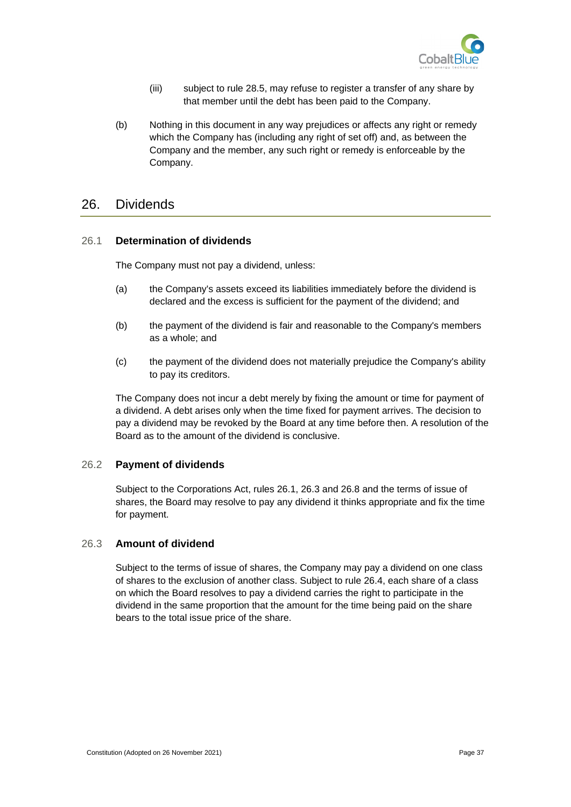

- (iii) subject to rule [28.5,](#page-50-0) may refuse to register a transfer of any share by that member until the debt has been paid to the Company.
- (b) Nothing in this document in any way prejudices or affects any right or remedy which the Company has (including any right of set off) and, as between the Company and the member, any such right or remedy is enforceable by the Company.

# <span id="page-45-0"></span>26. Dividends

#### <span id="page-45-1"></span>26.1 **Determination of dividends**

The Company must not pay a dividend, unless:

- (a) the Company's assets exceed its liabilities immediately before the dividend is declared and the excess is sufficient for the payment of the dividend; and
- (b) the payment of the dividend is fair and reasonable to the Company's members as a whole; and
- (c) the payment of the dividend does not materially prejudice the Company's ability to pay its creditors.

The Company does not incur a debt merely by fixing the amount or time for payment of a dividend. A debt arises only when the time fixed for payment arrives. The decision to pay a dividend may be revoked by the Board at any time before then. A resolution of the Board as to the amount of the dividend is conclusive.

#### <span id="page-45-2"></span>26.2 **Payment of dividends**

Subject to the Corporations Act, rules [26.1,](#page-45-1) [26.3](#page-45-3) and [26.8](#page-47-1) and the terms of issue of shares, the Board may resolve to pay any dividend it thinks appropriate and fix the time for payment.

### <span id="page-45-3"></span>26.3 **Amount of dividend**

Subject to the terms of issue of shares, the Company may pay a dividend on one class of shares to the exclusion of another class. Subject to rule [26.4,](#page-46-0) each share of a class on which the Board resolves to pay a dividend carries the right to participate in the dividend in the same proportion that the amount for the time being paid on the share bears to the total issue price of the share.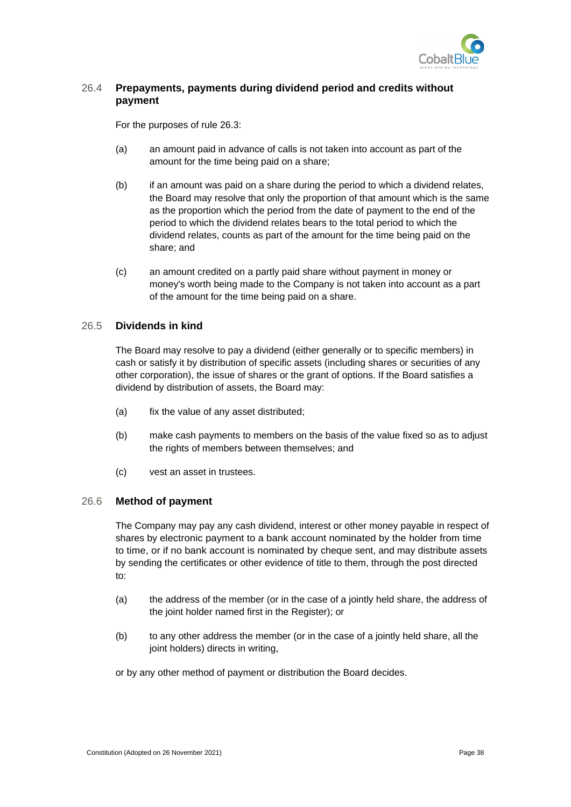

### <span id="page-46-0"></span>26.4 **Prepayments, payments during dividend period and credits without payment**

For the purposes of rule [26.3:](#page-45-3)

- (a) an amount paid in advance of calls is not taken into account as part of the amount for the time being paid on a share;
- (b) if an amount was paid on a share during the period to which a dividend relates, the Board may resolve that only the proportion of that amount which is the same as the proportion which the period from the date of payment to the end of the period to which the dividend relates bears to the total period to which the dividend relates, counts as part of the amount for the time being paid on the share; and
- (c) an amount credited on a partly paid share without payment in money or money's worth being made to the Company is not taken into account as a part of the amount for the time being paid on a share.

#### <span id="page-46-1"></span>26.5 **Dividends in kind**

The Board may resolve to pay a dividend (either generally or to specific members) in cash or satisfy it by distribution of specific assets (including shares or securities of any other corporation), the issue of shares or the grant of options. If the Board satisfies a dividend by distribution of assets, the Board may:

- (a) fix the value of any asset distributed;
- (b) make cash payments to members on the basis of the value fixed so as to adjust the rights of members between themselves; and
- (c) vest an asset in trustees.

#### <span id="page-46-2"></span>26.6 **Method of payment**

The Company may pay any cash dividend, interest or other money payable in respect of shares by electronic payment to a bank account nominated by the holder from time to time, or if no bank account is nominated by cheque sent, and may distribute assets by sending the certificates or other evidence of title to them, through the post directed to:

- (a) the address of the member (or in the case of a jointly held share, the address of the joint holder named first in the Register); or
- (b) to any other address the member (or in the case of a jointly held share, all the joint holders) directs in writing,

or by any other method of payment or distribution the Board decides.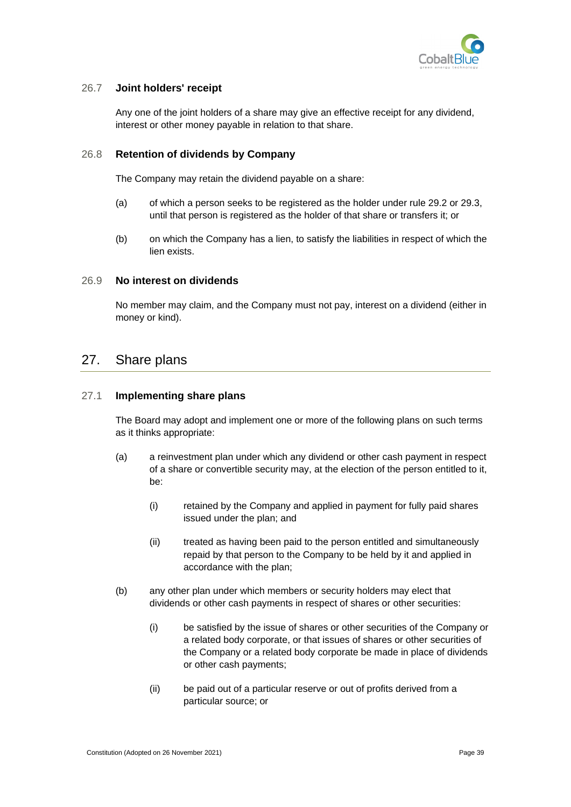

#### <span id="page-47-0"></span>26.7 **Joint holders' receipt**

Any one of the joint holders of a share may give an effective receipt for any dividend, interest or other money payable in relation to that share.

#### <span id="page-47-1"></span>26.8 **Retention of dividends by Company**

The Company may retain the dividend payable on a share:

- (a) of which a person seeks to be registered as the holder under rule [29.2](#page-51-2) or [29.3,](#page-51-3) until that person is registered as the holder of that share or transfers it; or
- (b) on which the Company has a lien, to satisfy the liabilities in respect of which the lien exists.

#### <span id="page-47-2"></span>26.9 **No interest on dividends**

No member may claim, and the Company must not pay, interest on a dividend (either in money or kind).

# <span id="page-47-3"></span>27. Share plans

#### <span id="page-47-4"></span>27.1 **Implementing share plans**

The Board may adopt and implement one or more of the following plans on such terms as it thinks appropriate:

- (a) a reinvestment plan under which any dividend or other cash payment in respect of a share or convertible security may, at the election of the person entitled to it, be:
	- (i) retained by the Company and applied in payment for fully paid shares issued under the plan; and
	- (ii) treated as having been paid to the person entitled and simultaneously repaid by that person to the Company to be held by it and applied in accordance with the plan;
- (b) any other plan under which members or security holders may elect that dividends or other cash payments in respect of shares or other securities:
	- (i) be satisfied by the issue of shares or other securities of the Company or a related body corporate, or that issues of shares or other securities of the Company or a related body corporate be made in place of dividends or other cash payments;
	- (ii) be paid out of a particular reserve or out of profits derived from a particular source; or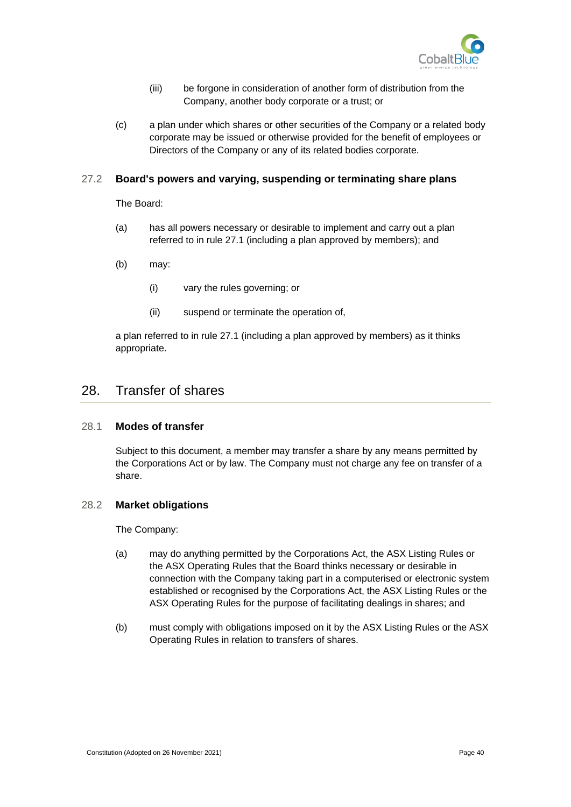

- (iii) be forgone in consideration of another form of distribution from the Company, another body corporate or a trust; or
- (c) a plan under which shares or other securities of the Company or a related body corporate may be issued or otherwise provided for the benefit of employees or Directors of the Company or any of its related bodies corporate.

#### <span id="page-48-0"></span>27.2 **Board's powers and varying, suspending or terminating share plans**

The Board:

- (a) has all powers necessary or desirable to implement and carry out a plan referred to in rule [27.1](#page-47-4) (including a plan approved by members); and
- (b) may:
	- (i) vary the rules governing; or
	- (ii) suspend or terminate the operation of,

a plan referred to in rule [27.1](#page-47-4) (including a plan approved by members) as it thinks appropriate.

# <span id="page-48-1"></span>28. Transfer of shares

#### <span id="page-48-2"></span>28.1 **Modes of transfer**

Subject to this document, a member may transfer a share by any means permitted by the Corporations Act or by law. The Company must not charge any fee on transfer of a share.

#### <span id="page-48-3"></span>28.2 **Market obligations**

The Company:

- (a) may do anything permitted by the Corporations Act, the ASX Listing Rules or the ASX Operating Rules that the Board thinks necessary or desirable in connection with the Company taking part in a computerised or electronic system established or recognised by the Corporations Act, the ASX Listing Rules or the ASX Operating Rules for the purpose of facilitating dealings in shares; and
- (b) must comply with obligations imposed on it by the ASX Listing Rules or the ASX Operating Rules in relation to transfers of shares.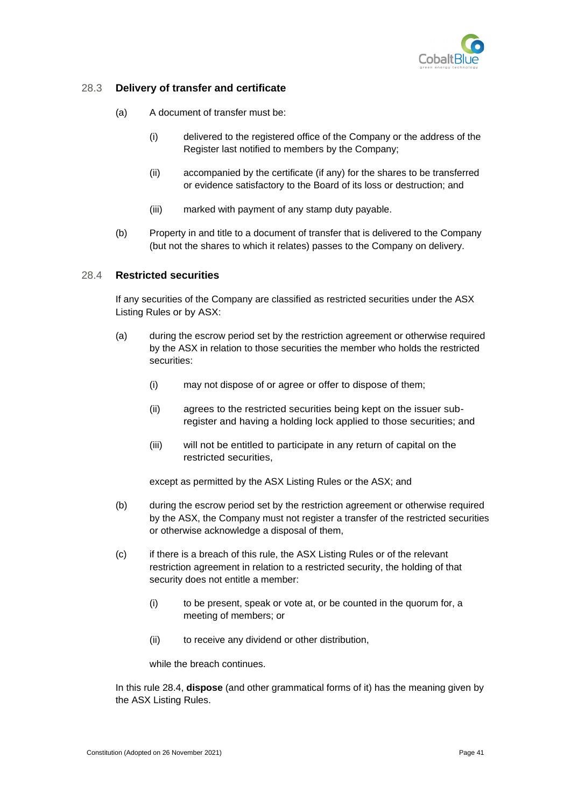

### <span id="page-49-0"></span>28.3 **Delivery of transfer and certificate**

- (a) A document of transfer must be:
	- (i) delivered to the registered office of the Company or the address of the Register last notified to members by the Company;
	- (ii) accompanied by the certificate (if any) for the shares to be transferred or evidence satisfactory to the Board of its loss or destruction; and
	- (iii) marked with payment of any stamp duty payable.
- (b) Property in and title to a document of transfer that is delivered to the Company (but not the shares to which it relates) passes to the Company on delivery.

#### <span id="page-49-1"></span>28.4 **Restricted securities**

If any securities of the Company are classified as restricted securities under the ASX Listing Rules or by ASX:

- (a) during the escrow period set by the restriction agreement or otherwise required by the ASX in relation to those securities the member who holds the restricted securities:
	- (i) may not dispose of or agree or offer to dispose of them;
	- (ii) agrees to the restricted securities being kept on the issuer subregister and having a holding lock applied to those securities; and
	- (iii) will not be entitled to participate in any return of capital on the restricted securities,

except as permitted by the ASX Listing Rules or the ASX; and

- (b) during the escrow period set by the restriction agreement or otherwise required by the ASX, the Company must not register a transfer of the restricted securities or otherwise acknowledge a disposal of them,
- (c) if there is a breach of this rule, the ASX Listing Rules or of the relevant restriction agreement in relation to a restricted security, the holding of that security does not entitle a member:
	- (i) to be present, speak or vote at, or be counted in the quorum for, a meeting of members; or
	- (ii) to receive any dividend or other distribution,

while the breach continues.

In this rule [28.4,](#page-49-1) **dispose** (and other grammatical forms of it) has the meaning given by the ASX Listing Rules.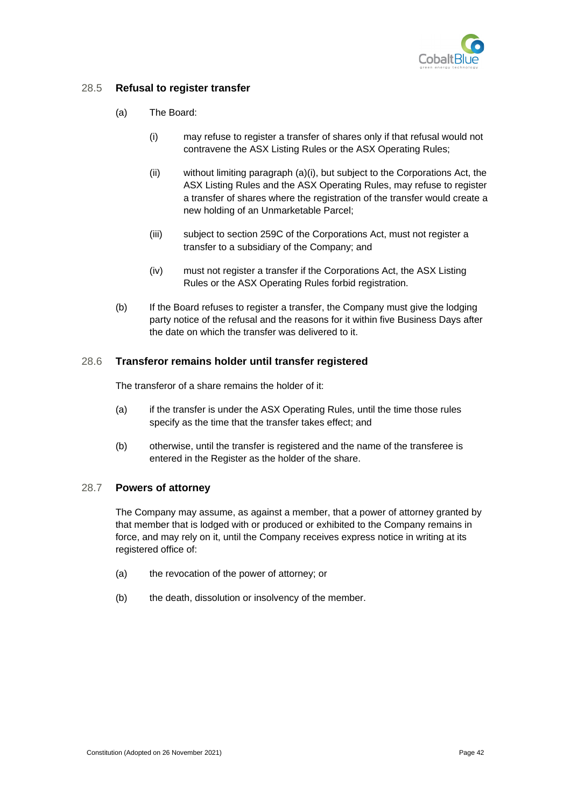

### <span id="page-50-0"></span>28.5 **Refusal to register transfer**

- (a) The Board:
	- (i) may refuse to register a transfer of shares only if that refusal would not contravene the ASX Listing Rules or the ASX Operating Rules;
	- (ii) without limiting paragraph (a)(i), but subject to the Corporations Act, the ASX Listing Rules and the ASX Operating Rules, may refuse to register a transfer of shares where the registration of the transfer would create a new holding of an Unmarketable Parcel;
	- (iii) subject to section 259C of the Corporations Act, must not register a transfer to a subsidiary of the Company; and
	- (iv) must not register a transfer if the Corporations Act, the ASX Listing Rules or the ASX Operating Rules forbid registration.
- (b) If the Board refuses to register a transfer, the Company must give the lodging party notice of the refusal and the reasons for it within five Business Days after the date on which the transfer was delivered to it.

### <span id="page-50-1"></span>28.6 **Transferor remains holder until transfer registered**

The transferor of a share remains the holder of it:

- (a) if the transfer is under the ASX Operating Rules, until the time those rules specify as the time that the transfer takes effect; and
- (b) otherwise, until the transfer is registered and the name of the transferee is entered in the Register as the holder of the share.

#### <span id="page-50-2"></span>28.7 **Powers of attorney**

The Company may assume, as against a member, that a power of attorney granted by that member that is lodged with or produced or exhibited to the Company remains in force, and may rely on it, until the Company receives express notice in writing at its registered office of:

- (a) the revocation of the power of attorney; or
- (b) the death, dissolution or insolvency of the member.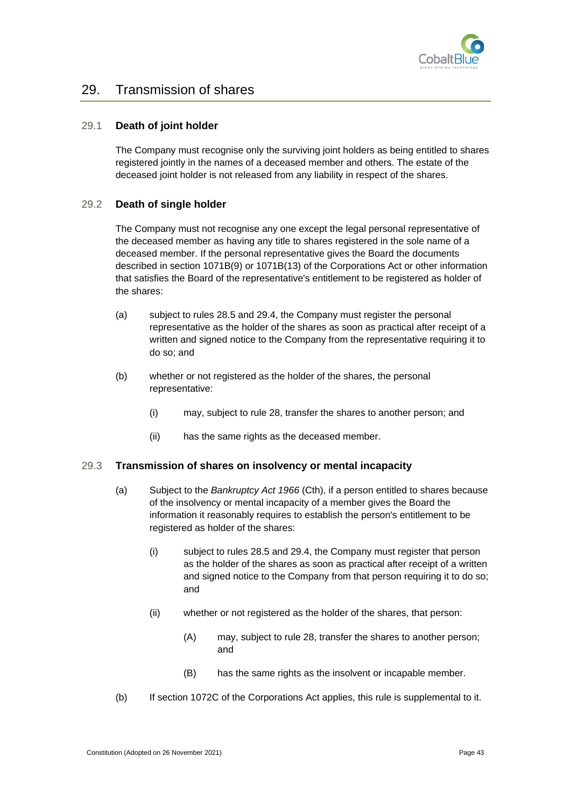

# <span id="page-51-0"></span>29. Transmission of shares

#### <span id="page-51-1"></span>29.1 **Death of joint holder**

The Company must recognise only the surviving joint holders as being entitled to shares registered jointly in the names of a deceased member and others. The estate of the deceased joint holder is not released from any liability in respect of the shares.

#### <span id="page-51-2"></span>29.2 **Death of single holder**

The Company must not recognise any one except the legal personal representative of the deceased member as having any title to shares registered in the sole name of a deceased member. If the personal representative gives the Board the documents described in section 1071B(9) or 1071B(13) of the Corporations Act or other information that satisfies the Board of the representative's entitlement to be registered as holder of the shares:

- (a) subject to rules [28.5](#page-50-0) an[d 29.4,](#page-52-0) the Company must register the personal representative as the holder of the shares as soon as practical after receipt of a written and signed notice to the Company from the representative requiring it to do so; and
- (b) whether or not registered as the holder of the shares, the personal representative:
	- (i) may, subject to rule [28,](#page-48-1) transfer the shares to another person; and
	- (ii) has the same rights as the deceased member.

#### <span id="page-51-3"></span>29.3 **Transmission of shares on insolvency or mental incapacity**

- (a) Subject to the *Bankruptcy Act 1966* (Cth), if a person entitled to shares because of the insolvency or mental incapacity of a member gives the Board the information it reasonably requires to establish the person's entitlement to be registered as holder of the shares:
	- (i) subject to rules [28.5](#page-50-0) and [29.4,](#page-52-0) the Company must register that person as the holder of the shares as soon as practical after receipt of a written and signed notice to the Company from that person requiring it to do so; and
	- (ii) whether or not registered as the holder of the shares, that person:
		- (A) may, subject to rule [28,](#page-48-1) transfer the shares to another person; and
		- (B) has the same rights as the insolvent or incapable member.
- (b) If section 1072C of the Corporations Act applies, this rule is supplemental to it.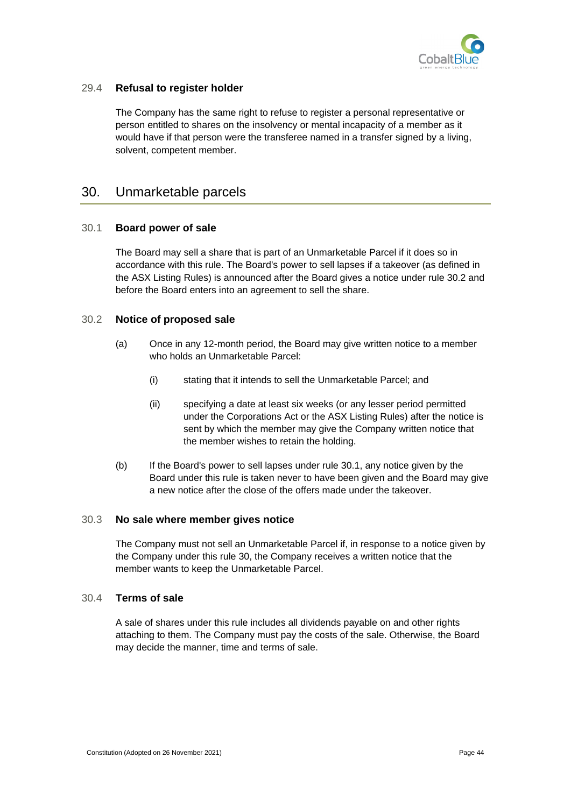

### <span id="page-52-0"></span>29.4 **Refusal to register holder**

The Company has the same right to refuse to register a personal representative or person entitled to shares on the insolvency or mental incapacity of a member as it would have if that person were the transferee named in a transfer signed by a living, solvent, competent member.

# <span id="page-52-1"></span>30. Unmarketable parcels

#### <span id="page-52-2"></span>30.1 **Board power of sale**

The Board may sell a share that is part of an Unmarketable Parcel if it does so in accordance with this rule. The Board's power to sell lapses if a takeover (as defined in the ASX Listing Rules) is announced after the Board gives a notice under rule [30.2](#page-52-3) and before the Board enters into an agreement to sell the share.

#### <span id="page-52-3"></span>30.2 **Notice of proposed sale**

- (a) Once in any 12-month period, the Board may give written notice to a member who holds an Unmarketable Parcel:
	- (i) stating that it intends to sell the Unmarketable Parcel; and
	- (ii) specifying a date at least six weeks (or any lesser period permitted under the Corporations Act or the ASX Listing Rules) after the notice is sent by which the member may give the Company written notice that the member wishes to retain the holding.
- (b) If the Board's power to sell lapses under rule [30.1,](#page-52-2) any notice given by the Board under this rule is taken never to have been given and the Board may give a new notice after the close of the offers made under the takeover.

#### <span id="page-52-4"></span>30.3 **No sale where member gives notice**

The Company must not sell an Unmarketable Parcel if, in response to a notice given by the Company under this rule [30,](#page-52-1) the Company receives a written notice that the member wants to keep the Unmarketable Parcel.

#### <span id="page-52-5"></span>30.4 **Terms of sale**

A sale of shares under this rule includes all dividends payable on and other rights attaching to them. The Company must pay the costs of the sale. Otherwise, the Board may decide the manner, time and terms of sale.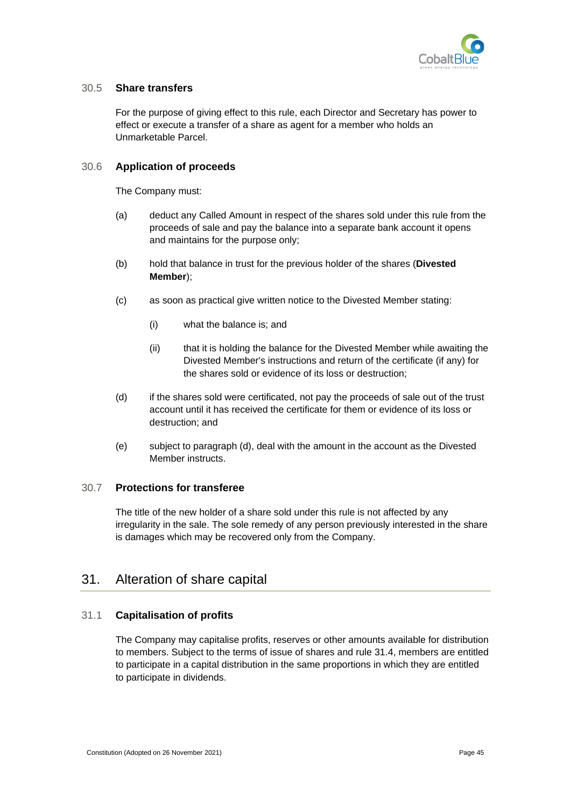

#### <span id="page-53-0"></span>30.5 **Share transfers**

For the purpose of giving effect to this rule, each Director and Secretary has power to effect or execute a transfer of a share as agent for a member who holds an Unmarketable Parcel.

#### <span id="page-53-1"></span>30.6 **Application of proceeds**

The Company must:

- (a) deduct any Called Amount in respect of the shares sold under this rule from the proceeds of sale and pay the balance into a separate bank account it opens and maintains for the purpose only;
- (b) hold that balance in trust for the previous holder of the shares (**Divested Member**);
- (c) as soon as practical give written notice to the Divested Member stating:
	- (i) what the balance is; and
	- (ii) that it is holding the balance for the Divested Member while awaiting the Divested Member's instructions and return of the certificate (if any) for the shares sold or evidence of its loss or destruction;
- <span id="page-53-5"></span>(d) if the shares sold were certificated, not pay the proceeds of sale out of the trust account until it has received the certificate for them or evidence of its loss or destruction; and
- (e) subject to paragraph [\(d\),](#page-53-5) deal with the amount in the account as the Divested Member instructs.

### <span id="page-53-2"></span>30.7 **Protections for transferee**

The title of the new holder of a share sold under this rule is not affected by any irregularity in the sale. The sole remedy of any person previously interested in the share is damages which may be recovered only from the Company.

# <span id="page-53-3"></span>31. Alteration of share capital

### <span id="page-53-4"></span>31.1 **Capitalisation of profits**

The Company may capitalise profits, reserves or other amounts available for distribution to members. Subject to the terms of issue of shares and rule [31.4,](#page-54-2) members are entitled to participate in a capital distribution in the same proportions in which they are entitled to participate in dividends.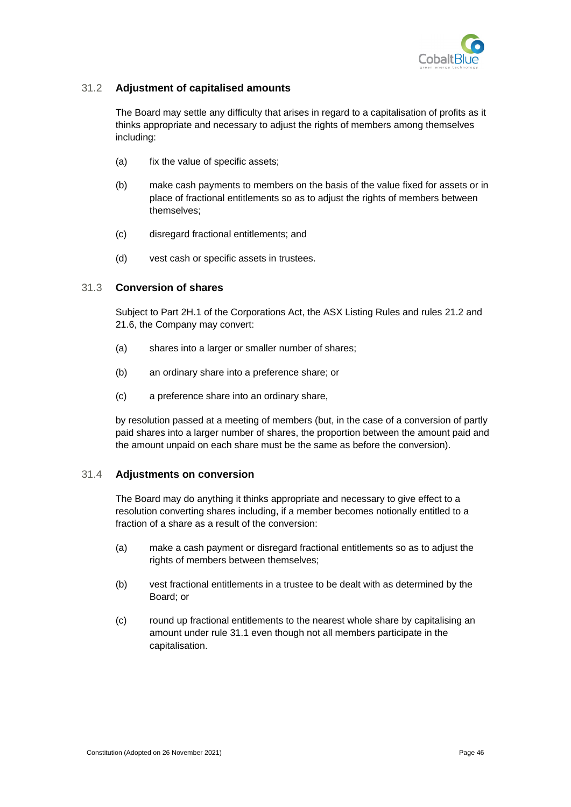

### <span id="page-54-0"></span>31.2 **Adjustment of capitalised amounts**

The Board may settle any difficulty that arises in regard to a capitalisation of profits as it thinks appropriate and necessary to adjust the rights of members among themselves including:

- (a) fix the value of specific assets;
- (b) make cash payments to members on the basis of the value fixed for assets or in place of fractional entitlements so as to adjust the rights of members between themselves;
- (c) disregard fractional entitlements; and
- (d) vest cash or specific assets in trustees.

#### <span id="page-54-1"></span>31.3 **Conversion of shares**

Subject to Part 2H.1 of the Corporations Act, the ASX Listing Rules and rules [21.2](#page-37-4) and [21.6,](#page-38-0) the Company may convert:

- (a) shares into a larger or smaller number of shares;
- (b) an ordinary share into a preference share; or
- (c) a preference share into an ordinary share,

by resolution passed at a meeting of members (but, in the case of a conversion of partly paid shares into a larger number of shares, the proportion between the amount paid and the amount unpaid on each share must be the same as before the conversion).

#### <span id="page-54-2"></span>31.4 **Adjustments on conversion**

The Board may do anything it thinks appropriate and necessary to give effect to a resolution converting shares including, if a member becomes notionally entitled to a fraction of a share as a result of the conversion:

- (a) make a cash payment or disregard fractional entitlements so as to adjust the rights of members between themselves;
- (b) vest fractional entitlements in a trustee to be dealt with as determined by the Board; or
- (c) round up fractional entitlements to the nearest whole share by capitalising an amount under rule [31.1](#page-53-4) even though not all members participate in the capitalisation.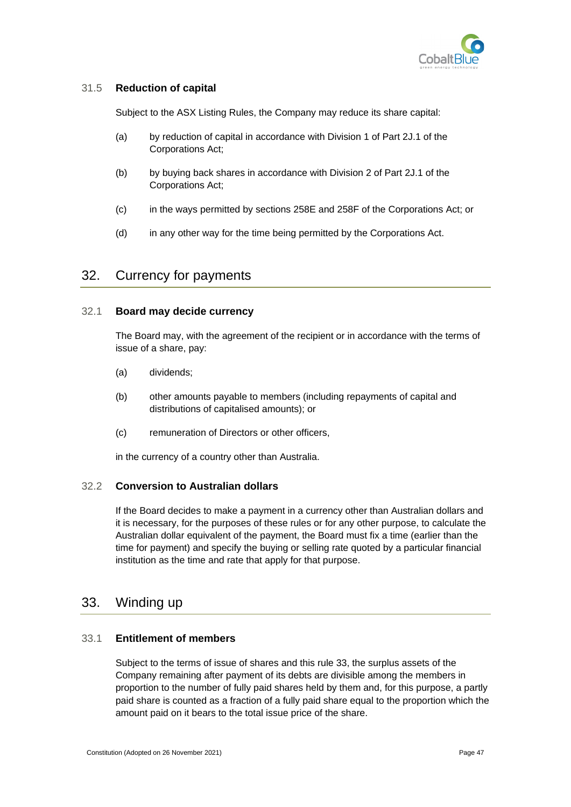

### <span id="page-55-0"></span>31.5 **Reduction of capital**

Subject to the ASX Listing Rules, the Company may reduce its share capital:

- (a) by reduction of capital in accordance with Division 1 of Part 2J.1 of the Corporations Act;
- (b) by buying back shares in accordance with Division 2 of Part 2J.1 of the Corporations Act;
- (c) in the ways permitted by sections 258E and 258F of the Corporations Act; or
- (d) in any other way for the time being permitted by the Corporations Act.

# <span id="page-55-1"></span>32. Currency for payments

#### <span id="page-55-2"></span>32.1 **Board may decide currency**

The Board may, with the agreement of the recipient or in accordance with the terms of issue of a share, pay:

- (a) dividends;
- (b) other amounts payable to members (including repayments of capital and distributions of capitalised amounts); or
- (c) remuneration of Directors or other officers,

in the currency of a country other than Australia.

#### <span id="page-55-3"></span>32.2 **Conversion to Australian dollars**

If the Board decides to make a payment in a currency other than Australian dollars and it is necessary, for the purposes of these rules or for any other purpose, to calculate the Australian dollar equivalent of the payment, the Board must fix a time (earlier than the time for payment) and specify the buying or selling rate quoted by a particular financial institution as the time and rate that apply for that purpose.

## <span id="page-55-4"></span>33. Winding up

#### <span id="page-55-5"></span>33.1 **Entitlement of members**

Subject to the terms of issue of shares and this rule [33,](#page-55-4) the surplus assets of the Company remaining after payment of its debts are divisible among the members in proportion to the number of fully paid shares held by them and, for this purpose, a partly paid share is counted as a fraction of a fully paid share equal to the proportion which the amount paid on it bears to the total issue price of the share.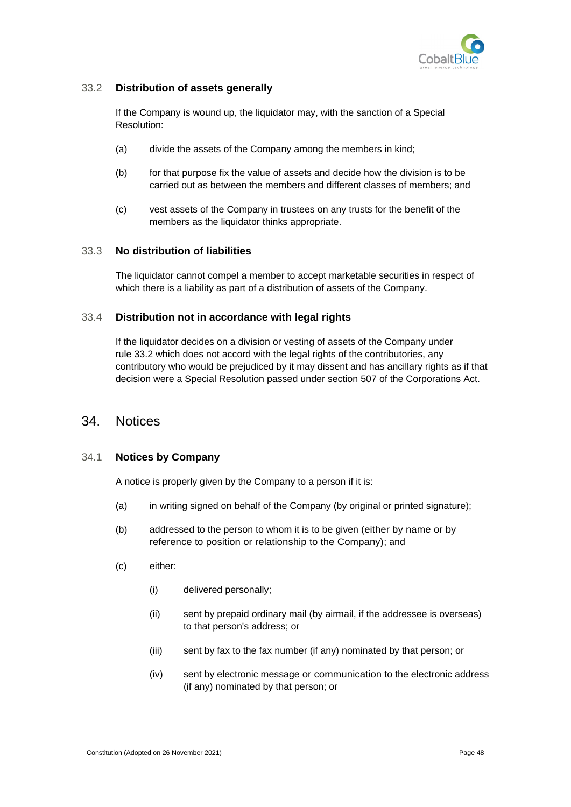

### <span id="page-56-0"></span>33.2 **Distribution of assets generally**

If the Company is wound up, the liquidator may, with the sanction of a Special Resolution:

- (a) divide the assets of the Company among the members in kind;
- (b) for that purpose fix the value of assets and decide how the division is to be carried out as between the members and different classes of members; and
- (c) vest assets of the Company in trustees on any trusts for the benefit of the members as the liquidator thinks appropriate.

#### <span id="page-56-1"></span>33.3 **No distribution of liabilities**

The liquidator cannot compel a member to accept marketable securities in respect of which there is a liability as part of a distribution of assets of the Company.

#### <span id="page-56-2"></span>33.4 **Distribution not in accordance with legal rights**

If the liquidator decides on a division or vesting of assets of the Company under rule [33.2](#page-56-0) which does not accord with the legal rights of the contributories, any contributory who would be prejudiced by it may dissent and has ancillary rights as if that decision were a Special Resolution passed under section 507 of the Corporations Act.

## <span id="page-56-3"></span>34. Notices

#### <span id="page-56-4"></span>34.1 **Notices by Company**

A notice is properly given by the Company to a person if it is:

- (a) in writing signed on behalf of the Company (by original or printed signature);
- (b) addressed to the person to whom it is to be given (either by name or by reference to position or relationship to the Company); and
- (c) either:
	- (i) delivered personally;
	- (ii) sent by prepaid ordinary mail (by airmail, if the addressee is overseas) to that person's address; or
	- (iii) sent by fax to the fax number (if any) nominated by that person; or
	- (iv) sent by electronic message or communication to the electronic address (if any) nominated by that person; or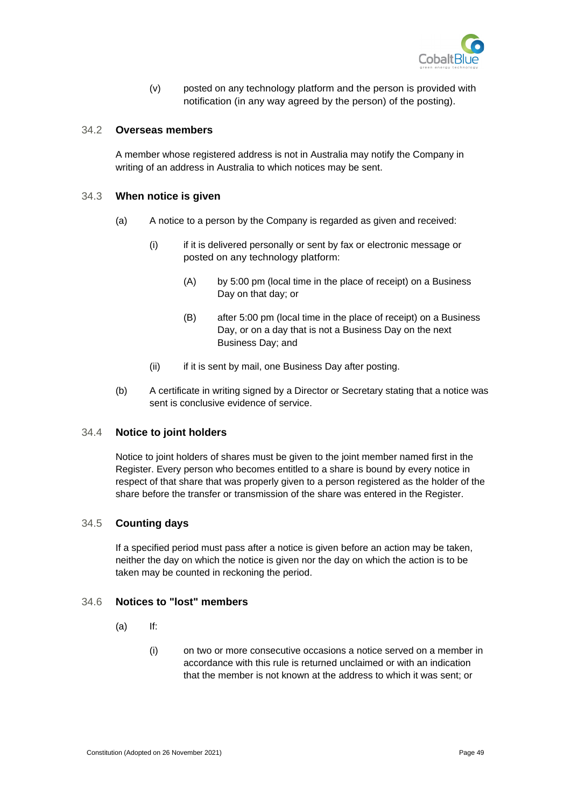

(v) posted on any technology platform and the person is provided with notification (in any way agreed by the person) of the posting).

#### <span id="page-57-0"></span>34.2 **Overseas members**

A member whose registered address is not in Australia may notify the Company in writing of an address in Australia to which notices may be sent.

#### <span id="page-57-1"></span>34.3 **When notice is given**

- (a) A notice to a person by the Company is regarded as given and received:
	- (i) if it is delivered personally or sent by fax or electronic message or posted on any technology platform:
		- (A) by 5:00 pm (local time in the place of receipt) on a Business Day on that day; or
		- (B) after 5:00 pm (local time in the place of receipt) on a Business Day, or on a day that is not a Business Day on the next Business Day; and
	- (ii) if it is sent by mail, one Business Day after posting.
- <span id="page-57-5"></span>(b) A certificate in writing signed by a Director or Secretary stating that a notice was sent is conclusive evidence of service.

#### <span id="page-57-2"></span>34.4 **Notice to joint holders**

Notice to joint holders of shares must be given to the joint member named first in the Register. Every person who becomes entitled to a share is bound by every notice in respect of that share that was properly given to a person registered as the holder of the share before the transfer or transmission of the share was entered in the Register.

#### <span id="page-57-3"></span>34.5 **Counting days**

If a specified period must pass after a notice is given before an action may be taken, neither the day on which the notice is given nor the day on which the action is to be taken may be counted in reckoning the period.

#### <span id="page-57-4"></span>34.6 **Notices to "lost" members**

- $(a)$  If:
	- (i) on two or more consecutive occasions a notice served on a member in accordance with this rule is returned unclaimed or with an indication that the member is not known at the address to which it was sent; or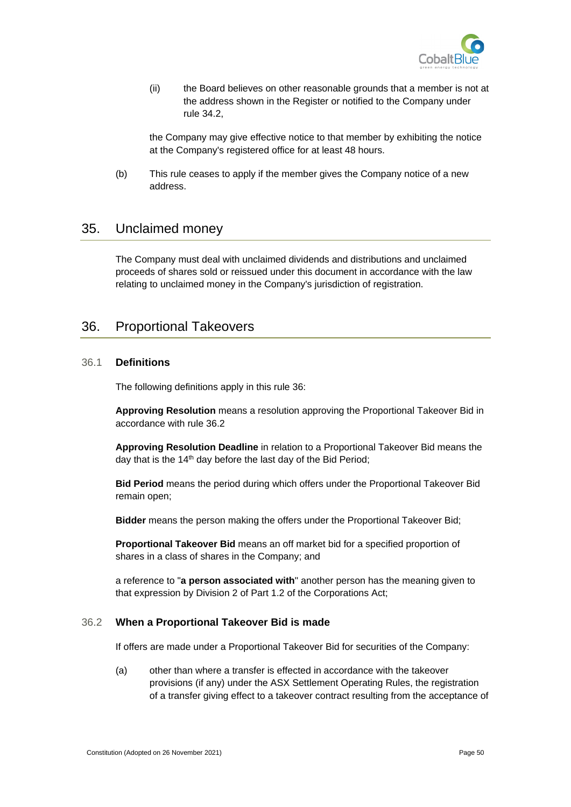

(ii) the Board believes on other reasonable grounds that a member is not at the address shown in the Register or notified to the Company under rule [34.2,](#page-57-0)

the Company may give effective notice to that member by exhibiting the notice at the Company's registered office for at least 48 hours.

(b) This rule ceases to apply if the member gives the Company notice of a new address.

# <span id="page-58-0"></span>35. Unclaimed money

The Company must deal with unclaimed dividends and distributions and unclaimed proceeds of shares sold or reissued under this document in accordance with the law relating to unclaimed money in the Company's jurisdiction of registration.

# <span id="page-58-1"></span>36. Proportional Takeovers

### <span id="page-58-2"></span>36.1 **Definitions**

The following definitions apply in this rule [36:](#page-58-1)

**Approving Resolution** means a resolution approving the Proportional Takeover Bid in accordance with rule [36.2](#page-58-3)

**Approving Resolution Deadline** in relation to a Proportional Takeover Bid means the day that is the 14<sup>th</sup> day before the last day of the Bid Period;

**Bid Period** means the period during which offers under the Proportional Takeover Bid remain open;

**Bidder** means the person making the offers under the Proportional Takeover Bid;

**Proportional Takeover Bid** means an off market bid for a specified proportion of shares in a class of shares in the Company; and

a reference to "**a person associated with**" another person has the meaning given to that expression by Division 2 of Part 1.2 of the Corporations Act;

#### <span id="page-58-3"></span>36.2 **When a Proportional Takeover Bid is made**

If offers are made under a Proportional Takeover Bid for securities of the Company:

(a) other than where a transfer is effected in accordance with the takeover provisions (if any) under the ASX Settlement Operating Rules, the registration of a transfer giving effect to a takeover contract resulting from the acceptance of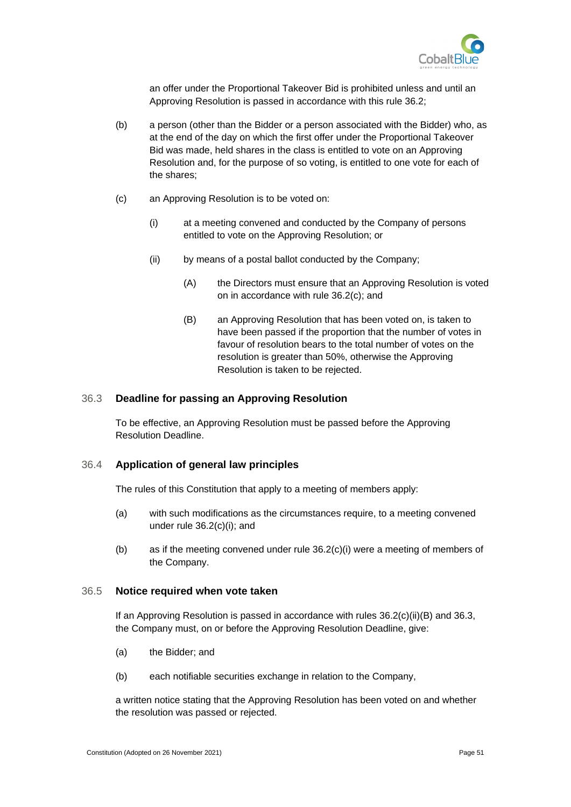

an offer under the Proportional Takeover Bid is prohibited unless and until an Approving Resolution is passed in accordance with this rule [36.2;](#page-58-3)

- (b) a person (other than the Bidder or a person associated with the Bidder) who, as at the end of the day on which the first offer under the Proportional Takeover Bid was made, held shares in the class is entitled to vote on an Approving Resolution and, for the purpose of so voting, is entitled to one vote for each of the shares;
- <span id="page-59-4"></span><span id="page-59-3"></span>(c) an Approving Resolution is to be voted on:
	- (i) at a meeting convened and conducted by the Company of persons entitled to vote on the Approving Resolution; or
	- (ii) by means of a postal ballot conducted by the Company;
		- (A) the Directors must ensure that an Approving Resolution is voted on in accordance with rule [36.2\(c\);](#page-59-3) and
		- (B) an Approving Resolution that has been voted on, is taken to have been passed if the proportion that the number of votes in favour of resolution bears to the total number of votes on the resolution is greater than 50%, otherwise the Approving Resolution is taken to be rejected.

#### <span id="page-59-5"></span><span id="page-59-0"></span>36.3 **Deadline for passing an Approving Resolution**

To be effective, an Approving Resolution must be passed before the Approving Resolution Deadline.

#### <span id="page-59-1"></span>36.4 **Application of general law principles**

The rules of this Constitution that apply to a meeting of members apply:

- (a) with such modifications as the circumstances require, to a meeting convened under rule [36.2\(c\)\(i\);](#page-59-4) and
- (b) as if the meeting convened under rule [36.2\(c\)\(i\)](#page-59-4) were a meeting of members of the Company.

#### <span id="page-59-2"></span>36.5 **Notice required when vote taken**

If an Approving Resolution is passed in accordance with rules  $36.2(c)(ii)(B)$  and  $36.3$ , the Company must, on or before the Approving Resolution Deadline, give:

- (a) the Bidder; and
- (b) each notifiable securities exchange in relation to the Company,

a written notice stating that the Approving Resolution has been voted on and whether the resolution was passed or rejected.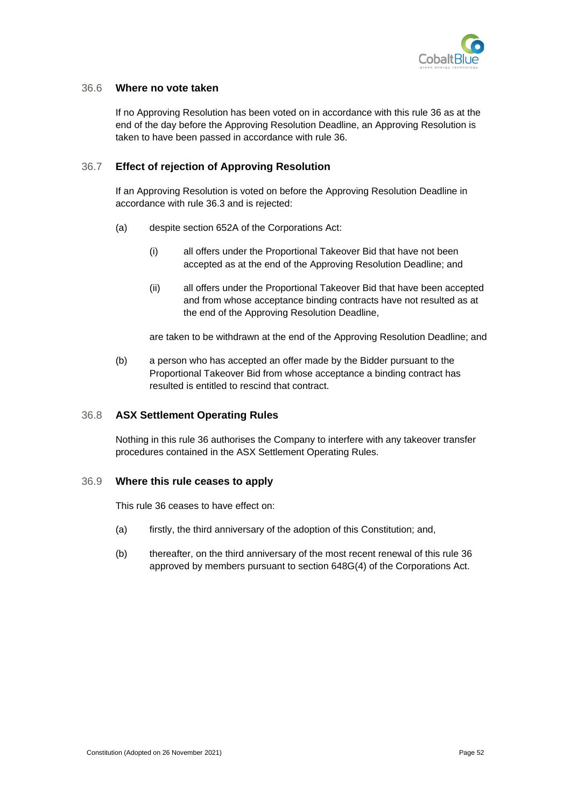

#### <span id="page-60-0"></span>36.6 **Where no vote taken**

If no Approving Resolution has been voted on in accordance with this rule [36](#page-58-1) as at the end of the day before the Approving Resolution Deadline, an Approving Resolution is taken to have been passed in accordance with rule [36.](#page-58-1)

#### <span id="page-60-1"></span>36.7 **Effect of rejection of Approving Resolution**

If an Approving Resolution is voted on before the Approving Resolution Deadline in accordance with rule [36.3](#page-59-0) and is rejected:

- (a) despite section 652A of the Corporations Act:
	- (i) all offers under the Proportional Takeover Bid that have not been accepted as at the end of the Approving Resolution Deadline; and
	- (ii) all offers under the Proportional Takeover Bid that have been accepted and from whose acceptance binding contracts have not resulted as at the end of the Approving Resolution Deadline,

are taken to be withdrawn at the end of the Approving Resolution Deadline; and

(b) a person who has accepted an offer made by the Bidder pursuant to the Proportional Takeover Bid from whose acceptance a binding contract has resulted is entitled to rescind that contract.

#### <span id="page-60-2"></span>36.8 **ASX Settlement Operating Rules**

Nothing in this rule [36](#page-58-1) authorises the Company to interfere with any takeover transfer procedures contained in the ASX Settlement Operating Rules.

#### <span id="page-60-3"></span>36.9 **Where this rule ceases to apply**

This rule [36](#page-58-1) ceases to have effect on:

- (a) firstly, the third anniversary of the adoption of this Constitution; and,
- (b) thereafter, on the third anniversary of the most recent renewal of this rule [36](#page-58-1) approved by members pursuant to section 648G(4) of the Corporations Act.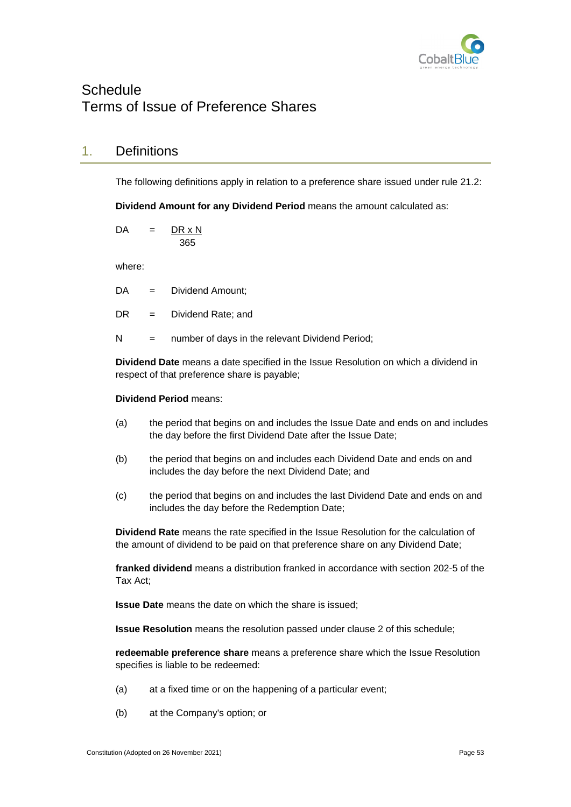

# <span id="page-61-0"></span>**Schedule** Terms of Issue of Preference Shares

# 1. Definitions

The following definitions apply in relation to a preference share issued under rule [21.2:](#page-37-4)

**Dividend Amount for any Dividend Period** means the amount calculated as:

 $DA = DR \times N$ 365

where:

- DA = Dividend Amount:
- DR = Dividend Rate; and
- $N =$  number of days in the relevant Dividend Period;

**Dividend Date** means a date specified in the Issue Resolution on which a dividend in respect of that preference share is payable;

#### **Dividend Period** means:

- (a) the period that begins on and includes the Issue Date and ends on and includes the day before the first Dividend Date after the Issue Date;
- (b) the period that begins on and includes each Dividend Date and ends on and includes the day before the next Dividend Date; and
- (c) the period that begins on and includes the last Dividend Date and ends on and includes the day before the Redemption Date;

**Dividend Rate** means the rate specified in the Issue Resolution for the calculation of the amount of dividend to be paid on that preference share on any Dividend Date;

**franked dividend** means a distribution franked in accordance with section 202-5 of the Tax Act;

**Issue Date** means the date on which the share is issued;

**Issue Resolution** means the resolution passed under clause 2 of this schedule;

**redeemable preference share** means a preference share which the Issue Resolution specifies is liable to be redeemed:

- (a) at a fixed time or on the happening of a particular event;
- (b) at the Company's option; or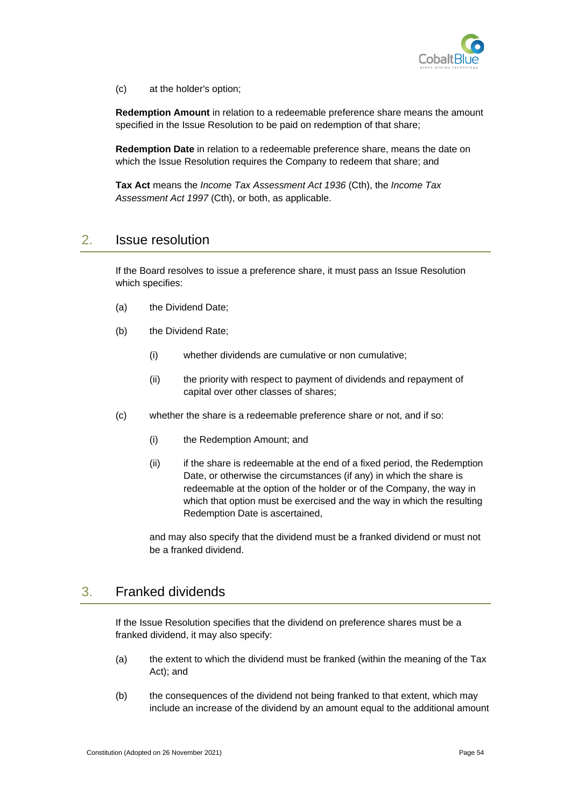

(c) at the holder's option;

**Redemption Amount** in relation to a redeemable preference share means the amount specified in the Issue Resolution to be paid on redemption of that share;

**Redemption Date** in relation to a redeemable preference share, means the date on which the Issue Resolution requires the Company to redeem that share; and

**Tax Act** means the *Income Tax Assessment Act 1936* (Cth), the *Income Tax Assessment Act 1997* (Cth), or both, as applicable.

# 2. Issue resolution

If the Board resolves to issue a preference share, it must pass an Issue Resolution which specifies:

- (a) the Dividend Date;
- (b) the Dividend Rate;
	- (i) whether dividends are cumulative or non cumulative;
	- (ii) the priority with respect to payment of dividends and repayment of capital over other classes of shares;
- (c) whether the share is a redeemable preference share or not, and if so:
	- (i) the Redemption Amount; and
	- (ii) if the share is redeemable at the end of a fixed period, the Redemption Date, or otherwise the circumstances (if any) in which the share is redeemable at the option of the holder or of the Company, the way in which that option must be exercised and the way in which the resulting Redemption Date is ascertained,

and may also specify that the dividend must be a franked dividend or must not be a franked dividend.

# 3. Franked dividends

If the Issue Resolution specifies that the dividend on preference shares must be a franked dividend, it may also specify:

- (a) the extent to which the dividend must be franked (within the meaning of the Tax Act); and
- (b) the consequences of the dividend not being franked to that extent, which may include an increase of the dividend by an amount equal to the additional amount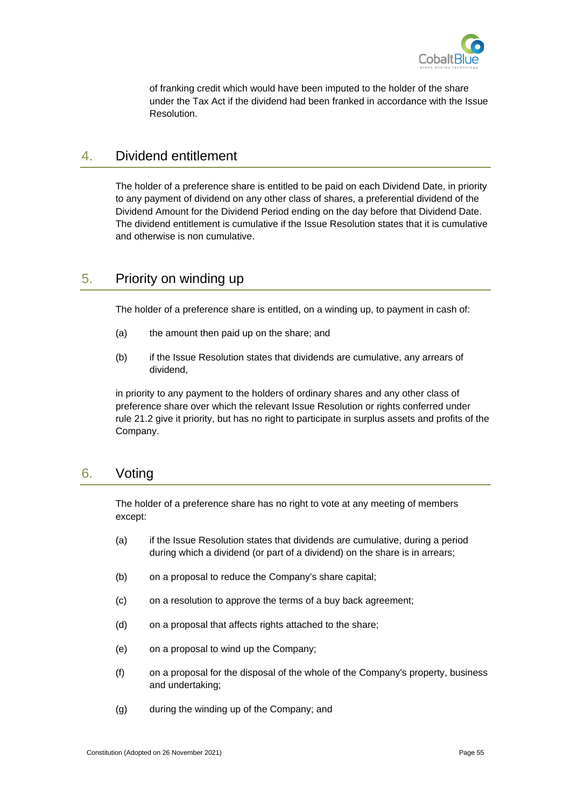

of franking credit which would have been imputed to the holder of the share under the Tax Act if the dividend had been franked in accordance with the Issue Resolution.

# 4. Dividend entitlement

The holder of a preference share is entitled to be paid on each Dividend Date, in priority to any payment of dividend on any other class of shares, a preferential dividend of the Dividend Amount for the Dividend Period ending on the day before that Dividend Date. The dividend entitlement is cumulative if the Issue Resolution states that it is cumulative and otherwise is non cumulative.

# 5. Priority on winding up

The holder of a preference share is entitled, on a winding up, to payment in cash of:

- (a) the amount then paid up on the share; and
- (b) if the Issue Resolution states that dividends are cumulative, any arrears of dividend,

in priority to any payment to the holders of ordinary shares and any other class of preference share over which the relevant Issue Resolution or rights conferred under rule [21.2](#page-37-4) give it priority, but has no right to participate in surplus assets and profits of the Company.

# 6. Voting

The holder of a preference share has no right to vote at any meeting of members except:

- (a) if the Issue Resolution states that dividends are cumulative, during a period during which a dividend (or part of a dividend) on the share is in arrears;
- (b) on a proposal to reduce the Company's share capital;
- (c) on a resolution to approve the terms of a buy back agreement;
- (d) on a proposal that affects rights attached to the share;
- (e) on a proposal to wind up the Company;
- (f) on a proposal for the disposal of the whole of the Company's property, business and undertaking;
- (g) during the winding up of the Company; and